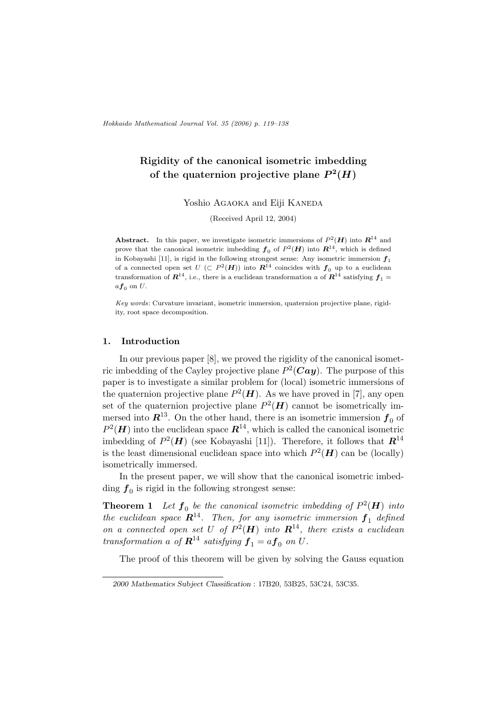Hokkaido Mathematical Journal Vol. 35 (2006) p. 119–138

# Rigidity of the canonical isometric imbedding of the quaternion projective plane  $P^2(H)$

Yoshio AGAOKA and Eiji KANEDA

(Received April 12, 2004)

**Abstract.** In this paper, we investigate isometric immersions of  $P^2(H)$  into  $\mathbb{R}^{14}$  and prove that the canonical isometric imbedding  $f_0$  of  $P^2(\mathbf{H})$  into  $\mathbf{R}^{14}$ , which is defined in Kobayashi [11], is rigid in the following strongest sense: Any isometric immersion  $f_1$ of a connected open set  $U$  ( $\subset P^2(H)$ ) into  $\mathbb{R}^{14}$  coincides with  $\boldsymbol{f}_0$  up to a euclidean transformation of  $\mathbb{R}^{14}$ , i.e., there is a euclidean transformation a of  $\mathbb{R}^{14}$  satisfying  $f_1 =$  $af_0$  on U.

Key words: Curvature invariant, isometric immersion, quaternion projective plane, rigidity, root space decomposition.

### 1. Introduction

In our previous paper [8], we proved the rigidity of the canonical isometric imbedding of the Cayley projective plane  $P^2(Cay)$ . The purpose of this paper is to investigate a similar problem for (local) isometric immersions of the quaternion projective plane  $P^2(H)$ . As we have proved in [7], any open set of the quaternion projective plane  $P^2(\mathbf{H})$  cannot be isometrically immersed into  $\mathbb{R}^{13}$ . On the other hand, there is an isometric immersion  $f_0$  of  $P^2(H)$  into the euclidean space  $\mathbb{R}^{14}$ , which is called the canonical isometric imbedding of  $P^2(H)$  (see Kobayashi [11]). Therefore, it follows that  $\mathbb{R}^{14}$ is the least dimensional euclidean space into which  $P^2(H)$  can be (locally) isometrically immersed.

In the present paper, we will show that the canonical isometric imbedding  $f_0$  is rigid in the following strongest sense:

**Theorem 1** Let  $f_0$  be the canonical isometric imbedding of  $P^2(\mathbf{H})$  into the euclidean space  $\mathbf{R}^{14}$ . Then, for any isometric immersion  $\mathbf{f}_1$  defined on a connected open set U of  $P^2(H)$  into  $\mathbb{R}^{14}$ , there exists a euclidean transformation a of  $\mathbf{R}^{14}$  satisfying  $\mathbf{f}_1 = a \mathbf{f}_0$  on U.

The proof of this theorem will be given by solving the Gauss equation

<sup>2000</sup> Mathematics Subject Classification : 17B20, 53B25, 53C24, 53C35.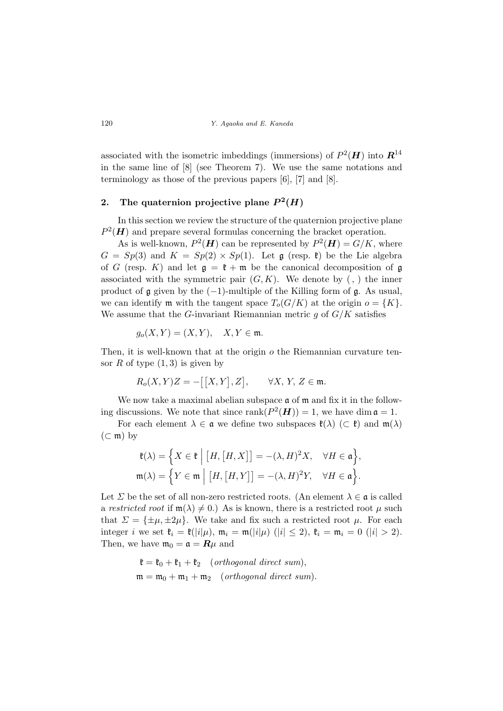associated with the isometric imbeddings (immersions) of  $P^2(\mathbf{H})$  into  $\mathbf{R}^{14}$ in the same line of [8] (see Theorem 7). We use the same notations and terminology as those of the previous papers [6], [7] and [8].

## 2. The quaternion projective plane  $P^2(H)$

In this section we review the structure of the quaternion projective plane  $P^2(H)$  and prepare several formulas concerning the bracket operation.

As is well-known,  $P^2(\mathbf{H})$  can be represented by  $P^2(\mathbf{H}) = G/K$ , where  $G = Sp(3)$  and  $K = Sp(2) \times Sp(1)$ . Let g (resp.  $\mathfrak{k}$ ) be the Lie algebra of G (resp. K) and let  $\mathfrak{g} = \mathfrak{k} + \mathfrak{m}$  be the canonical decomposition of  $\mathfrak{g}$ associated with the symmetric pair  $(G, K)$ . We denote by  $( , )$  the inner product of  $\mathfrak g$  given by the (−1)-multiple of the Killing form of  $\mathfrak g$ . As usual, we can identify **m** with the tangent space  $T_o(G/K)$  at the origin  $o = \{K\}.$ We assume that the G-invariant Riemannian metric  $g$  of  $G/K$  satisfies

$$
g_o(X, Y) = (X, Y), \quad X, Y \in \mathfrak{m}.
$$

Then, it is well-known that at the origin  $\sigma$  the Riemannian curvature tensor  $R$  of type  $(1, 3)$  is given by

$$
R_o(X, Y)Z = -[[X, Y], Z], \qquad \forall X, Y, Z \in \mathfrak{m}.
$$

We now take a maximal abelian subspace  $\mathfrak a$  of  $\mathfrak m$  and fix it in the following discussions. We note that since  $\text{rank}(P^2(\mathbf{H})) = 1$ , we have dim  $\mathfrak{a} = 1$ .

For each element  $\lambda \in \mathfrak{a}$  we define two subspaces  $\mathfrak{k}(\lambda)$  (⊂  $\mathfrak{k}$ ) and  $\mathfrak{m}(\lambda)$  $(\subset \mathfrak{m})$  by

$$
\mathfrak{k}(\lambda) = \Big\{ X \in \mathfrak{k} \Big| [H, [H, X]] = -(\lambda, H)^2 X, \quad \forall H \in \mathfrak{a} \Big\},
$$
  

$$
\mathfrak{m}(\lambda) = \Big\{ Y \in \mathfrak{m} \Big| [H, [H, Y]] = -(\lambda, H)^2 Y, \quad \forall H \in \mathfrak{a} \Big\}.
$$

Let  $\Sigma$  be the set of all non-zero restricted roots. (An element  $\lambda \in \mathfrak{a}$  is called a restricted root if  $m(\lambda) \neq 0$ .) As is known, there is a restricted root  $\mu$  such that  $\Sigma = {\pm \mu, \pm 2\mu}$ . We take and fix such a restricted root  $\mu$ . For each integer *i* we set  $\mathfrak{k}_i = \mathfrak{k}(|i|\mu)$ ,  $\mathfrak{m}_i = \mathfrak{m}(|i|\mu)$  ( $|i| \leq 2$ ),  $\mathfrak{k}_i = \mathfrak{m}_i = 0$  ( $|i| > 2$ ). Then, we have  $\mathfrak{m}_0 = \mathfrak{a} = \mathbb{R}\mu$  and

$$
\mathfrak{k} = \mathfrak{k}_0 + \mathfrak{k}_1 + \mathfrak{k}_2 \quad (\text{orthogonal direct sum}),
$$
  

$$
\mathfrak{m} = \mathfrak{m}_0 + \mathfrak{m}_1 + \mathfrak{m}_2 \quad (\text{orthogonal direct sum}).
$$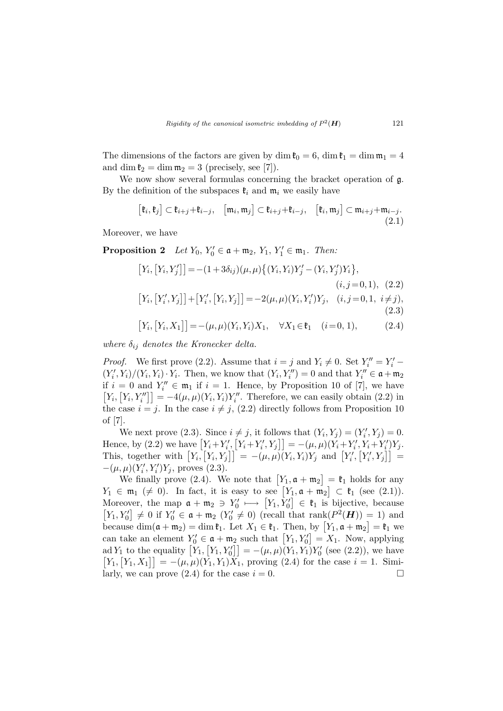The dimensions of the factors are given by dim  $\mathfrak{k}_0 = 6$ , dim  $\mathfrak{k}_1 = \dim \mathfrak{m}_1 = 4$ and dim  $\mathfrak{k}_2 = \dim \mathfrak{m}_2 = 3$  (precisely, see [7]).

We now show several formulas concerning the bracket operation of  $g$ . By the definition of the subspaces  $\mathfrak{k}_i$  and  $\mathfrak{m}_i$  we easily have

$$
[\mathfrak{k}_i, \mathfrak{k}_j] \subset \mathfrak{k}_{i+j} + \mathfrak{k}_{i-j}, \quad [\mathfrak{m}_i, \mathfrak{m}_j] \subset \mathfrak{k}_{i+j} + \mathfrak{k}_{i-j}, \quad [\mathfrak{k}_i, \mathfrak{m}_j] \subset \mathfrak{m}_{i+j} + \mathfrak{m}_{i-j}.
$$
\n(2.1)

Moreover, we have

**Proposition 2** Let  $Y_0$ ,  $Y'_0 \in \mathfrak{a} + \mathfrak{m}_2$ ,  $Y_1$ ,  $Y'_1 \in \mathfrak{m}_1$ . Then:

$$
[Y_i, [Y_i, Y'_j]] = -(1 + 3\delta_{ij})(\mu, \mu) \{ (Y_i, Y_i)Y'_j - (Y_i, Y'_j)Y_i \},
$$
  
\n
$$
(i, j = 0, 1), (2.2)
$$
  
\n
$$
[Y_i, [Y'_i, Y_j]] + [Y'_i, [Y_i, Y_j]] = -2(\mu, \mu)(Y_i, Y'_i)Y_j, (i, j = 0, 1, i \neq j),
$$
  
\n
$$
[Y_i, [Y_i, X_1]] = -(\mu, \mu)(Y_i, Y_i)X_1, \quad \forall X_1 \in \mathfrak{k}_1 \quad (i = 0, 1),
$$
  
\n(2.4)

where  $\delta_{ij}$  denotes the Kronecker delta.

*Proof.* We first prove (2.2). Assume that  $i = j$  and  $Y_i \neq 0$ . Set  $Y''_i = Y'_i$  –  $(Y'_i, Y_i)/(Y_i, Y_i) \cdot Y_i$ . Then, we know that  $(Y_i, Y''_i) = 0$  and that  $Y''_i \in \mathfrak{a} + \mathfrak{m}_2$ if  $i = 0$  and  $Y''_i \in \mathfrak{m}_1$  if  $i = 1$ . Hence, by Proposition 10 of [7], we have  $Y_i$ ,  $[Y_i, Y''_i]$  = -4( $\mu$ ,  $\mu$ )( $Y_i$ ,  $Y_i$ ) $Y''_i$ . Therefore, we can easily obtain (2.2) in the case  $i = j$ . In the case  $i \neq j$ , (2.2) directly follows from Proposition 10 of [7].

We next prove (2.3). Since  $i \neq j$ , it follows that  $(Y_i, Y_j) = (Y'_i, Y_j) = 0$ . we hext prove (2.3). Since  $i \neq j$ , it follows that  $(Y_i, Y_j) = (Y_i, Y_j) = 0$ .<br>Hence, by (2.2) we have  $[Y_i + Y'_i, [Y_i + Y'_i, Y_j]] = -(\mu, \mu)(Y_i + Y'_i, Y_i + Y'_i)Y_j$ . This, together with  $[Y_i, [Y_i, Y_j]] = -(\mu, \mu)(Y_i, Y_i)Y_j$  and  $[Y'_i, [Y'_i, Y_j]] =$  $-(\mu, \mu)(Y'_i, Y'_i)Y_j$ , proves (2.3). ¤

 $\mu_{\mathcal{U}}(r_i, r_i | r_j)$ , proves (2.3).<br>We finally prove (2.4). We note that  $[Y_1, \mathfrak{a} + \mathfrak{m}_2]$  $=$   $\mathfrak{k}_1$  holds for any We finally prove (2.4). We note that  $\lfloor t_1, \mathfrak{a} + \mathfrak{m}_2 \rfloor = \mathfrak{r}_1$  holds for any  $Y_1 \in \mathfrak{m}_1 \ (\neq 0)$ . In fact, it is easy to see  $\lfloor Y_1, \mathfrak{a} + \mathfrak{m}_2 \rfloor \subset \mathfrak{k}_1$  (see (2.1)).  $Y_1 \in \mathfrak{m}_1 \ (\neq 0)$ . In fact, it is easy to see  $\lfloor Y_1, \mathfrak{a} + \mathfrak{m}_2 \rfloor \subset \mathfrak{r}_1$  (see (2.1)).<br>Moreover, the map  $\mathfrak{a} + \mathfrak{m}_2 \ni Y_0' \longmapsto [Y_1, Y_0'] \in \mathfrak{k}_1$  is bijective, because  $[Y_1, Y'_0] \neq 0$  if  $Y'_0 \in \mathfrak{a} + \mathfrak{m}_2$   $(Y'_0 \neq 0)$  (recall that rank $(P^2(H)) = 1$ ) and  $\lfloor t_1, t_0 \rfloor \neq 0$  if  $t_0 \in \mathfrak{a} + \mathfrak{m}_2$   $\lfloor t_0 \neq 0 \rfloor$  (recall that  $\tanh(r \cdot (\mathbf{H})) = 1$ ) and<br>because  $\dim(\mathfrak{a} + \mathfrak{m}_2) = \dim \mathfrak{k}_1$ . Let  $X_1 \in \mathfrak{k}_1$ . Then, by  $[Y_1, \mathfrak{a} + \mathfrak{m}_2] = \mathfrak{k}_1$  we because dim $(\mathfrak{u} + \mathfrak{m}_2) = \dim \mathfrak{r}_1$ . Let  $X_1 \in \mathfrak{r}_1$ . Then, by  $\lfloor r_1, \mathfrak{u} + \mathfrak{m}_2 \rfloor = \mathfrak{r}_1$  we<br>can take an element  $Y_0' \in \mathfrak{a} + \mathfrak{m}_2$  such that  $[Y_1, Y_0'] = X_1$ . Now, applying can take an element  $Y_0 \in \mathfrak{a} + \mathfrak{m}_2$  such that  $[Y_1, Y_0] = X_1$ . Now, applying<br>ad  $Y_1$  to the equality  $[Y_1, [Y_1, Y_0]] = -(\mu, \mu)(Y_1, Y_1)Y_0'$  (see (2.2)), we have  $Y_1, [Y_1, X_1] = -(\mu, \mu)(Y_1, Y_1)X_1$ , proving (2.4) for the case  $i = 1$ . Similarly, we can prove  $(2.4)$  for the case  $i = 0$ .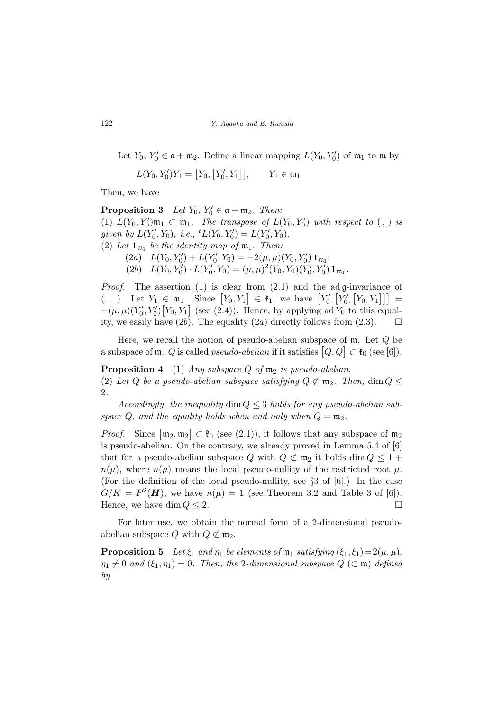Let  $Y_0, Y'_0 \in \mathfrak{a} + \mathfrak{m}_2$ . Define a linear mapping  $L(Y_0, Y'_0)$  of  $\mathfrak{m}_1$  to  $\mathfrak{m}$  by

$$
L(Y_0, Y'_0)Y_1 = [Y_0, [Y'_0, Y_1]], \t Y_1 \in \mathfrak{m}_1.
$$

Then, we have

**Proposition 3** Let  $Y_0, Y'_0 \in \mathfrak{a} + \mathfrak{m}_2$ . Then: (1)  $L(Y_0, Y'_0)$  $m_1 \subset m_1$ . The transpose of  $L(Y_0, Y'_0)$  with respect to  $(,)$  is given by  $L(Y'_0, Y_0)$ , i.e.,  ${}^t L(Y_0, Y'_0) = L(Y'_0, Y_0)$ . (2) Let  $\mathbf{1}_{\mathfrak{m}_1}$  be the identity map of  $\mathfrak{m}_1$ . Then: (2a)  $L(Y_0, Y'_0) + L(Y'_0, Y_0) = -2(\mu, \mu)(Y_0, Y'_0) \mathbf{1}_{\mathfrak{m}_1};$ 

(2b)  $L(Y_0, Y'_0) \cdot L(Y'_0, Y_0) = (\mu, \mu)^2 (Y_0, Y_0) (Y'_0, Y'_0) \mathbf{1}_{\mathfrak{m}_1}$ .

*Proof.* The assertion (1) is clear from (2.1) and the ad g-invariance of *Froof.* The assertion (1) is clear from (2.1) and the add-invariance of  $\left(Y_0, Y_1\right] \in \mathfrak{k}_1$ , we have  $\left[Y'_0, \left[Y'_0, \left[Y'_0, \left[Y_0, Y_1\right]\right]\right]\right] =$  $-(\mu,\mu)(Y'_0,Y'_0)[Y_0,Y_1]$  (see (2.4)). Hence, by applying ad  $Y_0$  to this equality, we easily have (2b). The equality (2a) directly follows from (2.3).  $\Box$ 

Here, we recall the notion of pseudo-abelian subspace of  $m$ . Let  $Q$  be There, we recall the notion of pseudo-abelian subspace of i.e. Let  $Q$  be<br>a subspace of  $m$ . Q is called *pseudo-abelian* if it satisfies  $[Q, Q] \subset \mathfrak{k}_0$  (see [6]).

**Proposition 4** (1) Any subspace Q of  $m_2$  is pseudo-abelian. (2) Let Q be a pseudo-abelian subspace satisfying  $Q \not\subset m_2$ . Then,  $\dim Q \leq$ 2.

Accordingly, the inequality dim  $Q \leq 3$  holds for any pseudo-abelian subspace Q, and the equality holds when and only when  $Q = m_2$ .

*Proof.* Since  $\lceil m_2, m_2 \rceil$ l<br>E  $\subset \mathfrak{k}_0$  (see (2.1)), it follows that any subspace of  $\mathfrak{m}_2$ is pseudo-abelian. On the contrary, we already proved in Lemma 5.4 of [6] that for a pseudo-abelian subspace Q with  $Q \not\subset m_2$  it holds dim  $Q \leq 1 +$  $n(\mu)$ , where  $n(\mu)$  means the local pseudo-nullity of the restricted root  $\mu$ . (For the definition of the local pseudo-nullity, see §3 of [6].) In the case  $G/K = P^2(H)$ , we have  $n(\mu) = 1$  (see Theorem 3.2 and Table 3 of [6]). Hence, we have dim  $Q \leq 2$ .

For later use, we obtain the normal form of a 2-dimensional pseudoabelian subspace Q with  $Q \not\subset m_2$ .

**Proposition 5** Let  $\xi_1$  and  $\eta_1$  be elements of  $\mathfrak{m}_1$  satisfying  $(\xi_1, \xi_1) = 2(\mu, \mu)$ ,  $\eta_1 \neq 0$  and  $(\xi_1, \eta_1) = 0$ . Then, the 2-dimensional subspace  $Q \subset \mathfrak{m}$  defined by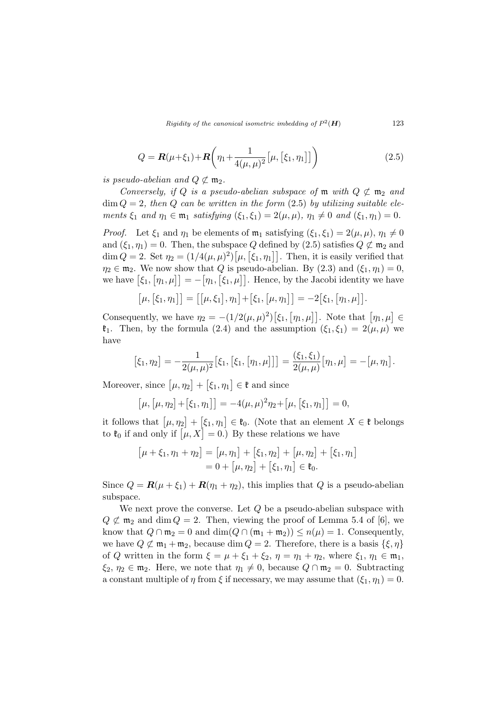Rigidity of the canonical isometric imbedding of  $P^2(\mathbf{H})$  123

$$
Q = \mathbf{R}(\mu + \xi_1) + \mathbf{R} \left( \eta_1 + \frac{1}{4(\mu, \mu)^2} \left[ \mu, \left[ \xi_1, \eta_1 \right] \right] \right) \tag{2.5}
$$

is pseudo-abelian and  $Q \not\subset \mathfrak{m}_2$ .

Conversely, if Q is a pseudo-abelian subspace of  $\mathfrak m$  with  $Q \not\subset \mathfrak m_2$  and  $\dim Q = 2$ , then Q can be written in the form (2.5) by utilizing suitable elements  $\xi_1$  and  $\eta_1 \in \mathfrak{m}_1$  satisfying  $(\xi_1, \xi_1) = 2(\mu, \mu)$ ,  $\eta_1 \neq 0$  and  $(\xi_1, \eta_1) = 0$ .

*Proof.* Let  $\xi_1$  and  $\eta_1$  be elements of  $\mathfrak{m}_1$  satisfying  $(\xi_1, \xi_1) = 2(\mu, \mu), \eta_1 \neq 0$ and  $(\xi_1, \eta_1) = 0$ . Then, the subspace Q defined by (2.5) satisfies  $Q \not\subset \mathfrak{m}_2$  and and  $(\zeta_1, \eta_1) = 0$ . Then, the subspace  $\zeta$  defined by  $(2.5)$  satisfies  $\zeta \zeta \ln 2$  and  $\dim Q = 2$ . Set  $\eta_2 = (1/4(\mu, \mu)^2) [\mu, [\zeta_1, \eta_1]]$ . Then, it is easily verified that  $\eta_2 \in \mathfrak{m}_2$ . We now show that Q is pseudo-abelian. By (2.3) and  $(\xi_1, \eta_1) = 0$ ,  $\eta_2 \in \mathfrak{m}_2$ . We now show that  $\mathcal{Q}$  is pseudo-abelian. By (2.3) and (51,  $\eta_1$ ) = 0,<br>we have  $[\xi_1, \eta_1, \mu]$  =  $-[\eta_1, [\xi_1, \mu]]$ . Hence, by the Jacobi identity we have

$$
[\mu,[\xi_1,\eta_1]] = [[\mu,\xi_1],\eta_1] + [\xi_1,[\mu,\eta_1]] = -2[\xi_1,[\eta_1,\mu]].
$$

Consequently, we have  $\eta_2 = -(1/2(\mu,\mu)^2)$  $\xi_1,$  $[\eta_1, \mu]$ . Note that  $[\eta_1, \mu] \in$  $\mathfrak{k}_1$ . Then, by the formula (2.4) and the assumption  $(\xi_1, \xi_1) = 2(\mu, \mu)$  we have

$$
[\xi_1, \eta_2] = -\frac{1}{2(\mu, \mu)^2} [\xi_1, [\xi_1, [\eta_1, \mu]]] = \frac{(\xi_1, \xi_1)}{2(\mu, \mu)} [\eta_1, \mu] = -[\mu, \eta_1].
$$

Moreover, since  $\lbrack \mu, \eta_2 \rbrack$  $+$  $\xi_1, \eta_1$ ∈ k and since

$$
[\mu, [\mu, \eta_2] + [\xi_1, \eta_1]] = -4(\mu, \mu)^2 \eta_2 + [\mu, [\xi_1, \eta_1]] = 0,
$$

it follows that  $\lceil \mu, \eta_2 \rceil$ +  $\xi_1, \eta_1$  $\in \mathfrak{k}_0$ . (Note that an element  $X \in \mathfrak{k}$  belongs to the konduct  $[\mu, \eta_2] + [\xi_1, \eta_1] \in \tau_0$ . (Note that an element to  $\ell_0$  if and only if  $[\mu, X] = 0$ .) By these relations we have

$$
[\mu + \xi_1, \eta_1 + \eta_2] = [\mu, \eta_1] + [\xi_1, \eta_2] + [\mu, \eta_2] + [\xi_1, \eta_1]
$$
  
= 0 + [\mu, \eta\_2] + [\xi\_1, \eta\_1] \in \mathfrak{k}\_0.

Since  $Q = \mathbf{R}(\mu + \xi_1) + \mathbf{R}(\eta_1 + \eta_2)$ , this implies that Q is a pseudo-abelian subspace.

We next prove the converse. Let  $Q$  be a pseudo-abelian subspace with  $Q \not\subset m_2$  and dim  $Q = 2$ . Then, viewing the proof of Lemma 5.4 of [6], we know that  $Q \cap \mathfrak{m}_2 = 0$  and  $\dim(Q \cap (\mathfrak{m}_1 + \mathfrak{m}_2)) \leq n(\mu) = 1$ . Consequently, we have  $Q \not\subset m_1 + m_2$ , because dim  $Q = 2$ . Therefore, there is a basis  $\{\xi, \eta\}$ of Q written in the form  $\xi = \mu + \xi_1 + \xi_2$ ,  $\eta = \eta_1 + \eta_2$ , where  $\xi_1, \eta_1 \in \mathfrak{m}_1$ ,  $\xi_2, \eta_2 \in \mathfrak{m}_2$ . Here, we note that  $\eta_1 \neq 0$ , because  $Q \cap \mathfrak{m}_2 = 0$ . Subtracting a constant multiple of  $\eta$  from  $\xi$  if necessary, we may assume that  $(\xi_1, \eta_1) = 0$ .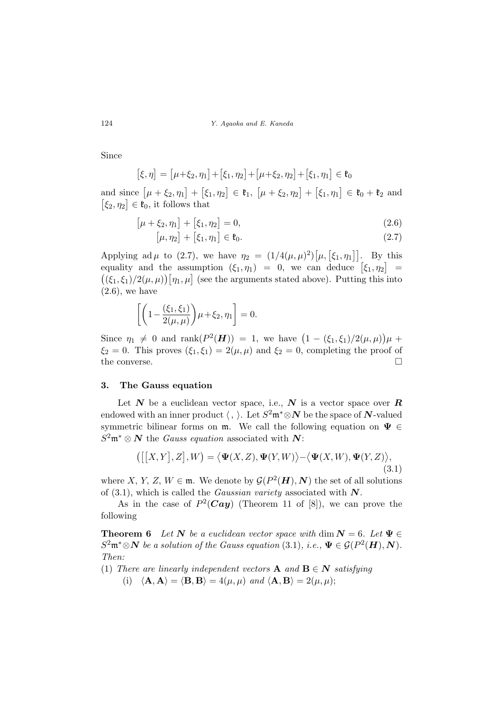124 Y. Agaoka and E. Kaneda

Since

$$
[\xi, \eta] = [\mu + \xi_2, \eta_1] + [\xi_1, \eta_2] + [\mu + \xi_2, \eta_2] + [\xi_1, \eta_1] \in \mathfrak{k}_0
$$

and since  $\lbrack \mu + \xi_2, \eta_1 \rbrack$  $+$  $\xi_1, \eta_2$  $\in \mathfrak{k}_1,$  $\mu + \xi_2, \eta_2$  $+$  $\xi_1, \eta_1$ and since  $[\mu + \xi_2, \eta_1] + [\xi_1, \eta_2] \in \mathfrak{k}_1$ ,  $[\mu + \xi_2, \eta_2] + [\xi_1, \eta_1] \in \mathfrak{k}_0 + \mathfrak{k}_2$  and  $|\xi_2, \eta_2| \in \mathfrak{k}_0$ , it follows that

$$
[\mu + \xi_2, \eta_1] + [\xi_1, \eta_2] = 0, \tag{2.6}
$$

$$
[\mu, \eta_2] + [\xi_1, \eta_1] \in \mathfrak{k}_0. \tag{2.7}
$$

Applying ad  $\mu$  to (2.7), we have  $\eta_2 = (1/4(\mu,\mu)^2)$  $[\mu, [\xi_1, \eta_1]]$ . By this Applying aa  $\mu$  to (2.1), we have  $\eta_2 = (1/4(\mu, \mu)) [\mu, [51, \eta_1]]$ . By this equality and the assumption  $(\xi_1, \eta_1) = 0$ , we can deduce  $[\xi_1, \eta_2] =$ quality and the assumption  $(\zeta_1, \eta_1) = 0$ , we can deduce  $[\zeta_1, \eta_2] = (\zeta_1, \zeta_1)/2(\mu, \mu) [\eta_1, \mu]$  (see the arguments stated above). Putting this into  $(2.6)$ , we have

$$
\left[\left(1-\frac{(\xi_1,\xi_1)}{2(\mu,\mu)}\right)\mu+\xi_2,\eta_1\right]=0.
$$

Since  $\eta_1 \neq 0$  and  $\text{rank}(P^2(\mathbf{H})) = 1$ , we have  $(1 - (\xi_1, \xi_1)/2(\mu, \mu))$ ¢  $\mu +$  $\xi_2 = 0$ . This proves  $(\xi_1, \xi_1) = 2(\mu, \mu)$  and  $\xi_2 = 0$ , completing the proof of the converse.  $\Box$ 

#### 3. The Gauss equation

Let  $N$  be a euclidean vector space, i.e.,  $N$  is a vector space over  $R$ endowed with an inner product  $\langle , \rangle$ . Let  $S^2 \mathfrak{m}^* \otimes \mathbf{N}$  be the space of N-valued symmetric bilinear forms on  $m$ . We call the following equation on  $\Psi \in$  $S^2\mathfrak{m}^*\otimes N$  the *Gauss equation* associated with N:

$$
\left(\left[\left[X,Y\right],Z\right],W\right)=\left\langle \mathbf{\Psi}(X,Z),\mathbf{\Psi}(Y,W)\right\rangle -\left\langle \mathbf{\Psi}(X,W),\mathbf{\Psi}(Y,Z)\right\rangle,\tag{3.1}
$$

where X, Y, Z,  $W \in \mathfrak{m}$ . We denote by  $\mathcal{G}(P^2(\mathbf{H}), \mathbf{N})$  the set of all solutions of  $(3.1)$ , which is called the *Gaussian variety* associated with  $N$ .

As in the case of  $P^2(Cay)$  (Theorem 11 of [8]), we can prove the following

**Theorem 6** Let N be a euclidean vector space with dim  $N = 6$ . Let  $\Psi \in$  $S^2 \mathfrak{m}^* \otimes N$  be a solution of the Gauss equation (3.1), i.e.,  $\Psi \in \mathcal{G}(P^2(\mathbf{H}), \mathbf{N})$ . Then:

(1) There are linearly independent vectors **A** and **B**  $\in$  **N** satisfying

(i)  $\langle \mathbf{A}, \mathbf{A} \rangle = \langle \mathbf{B}, \mathbf{B} \rangle = 4(\mu, \mu)$  and  $\langle \mathbf{A}, \mathbf{B} \rangle = 2(\mu, \mu);$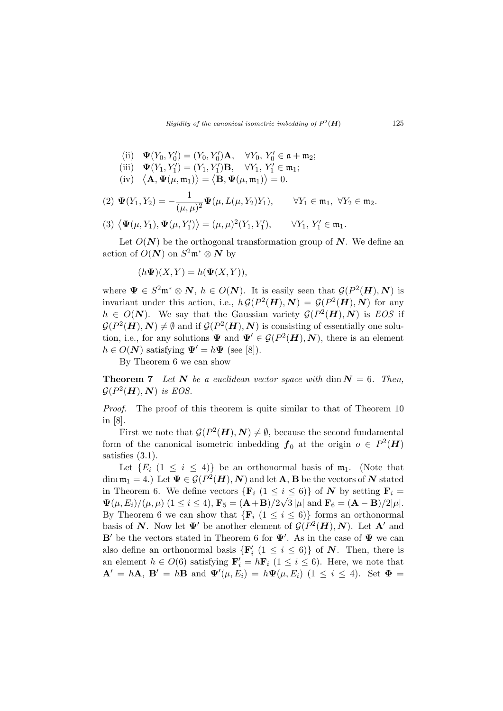(ii) 
$$
\mathbf{\Psi}(Y_0, Y'_0) = (Y_0, Y'_0) \mathbf{A}, \quad \forall Y_0, Y'_0 \in \mathfrak{a} + \mathfrak{m}_2;
$$

- (iii)  $\Psi(Y_1, Y_1') = (Y_1, Y_1')\mathbf{B}, \forall Y_1, Y_1' \in \mathfrak{m}_1;$ <br>(iv)  $\langle \mathbf{A}, \Psi(\mu, \mathfrak{m}_1) \rangle = \langle \mathbf{B}, \Psi(\mu, \mathfrak{m}_1) \rangle = 0.$ ®  $\frac{1}{\lambda}$  $\mathbf{C}$
- =  $\mathbf{B}, \mathbf{\Psi}(\mu,\mathfrak{m}_1)$  $= 0.$

(2) 
$$
\Psi(Y_1, Y_2) = -\frac{1}{(\mu, \mu)^2} \Psi(\mu, L(\mu, Y_2)Y_1), \qquad \forall Y_1 \in \mathfrak{m}_1, \ \forall Y_2 \in \mathfrak{m}_2.
$$

$$
(3) \langle \mathbf{\Psi}(\mu, Y_1), \mathbf{\Psi}(\mu, Y'_1) \rangle = (\mu, \mu)^2 (Y_1, Y'_1), \qquad \forall Y_1, Y'_1 \in \mathfrak{m}_1.
$$

Let  $O(N)$  be the orthogonal transformation group of N. We define an action of  $O(N)$  on  $S^2 \mathfrak{m}^* \otimes N$  by

$$
(h\Psi)(X,Y) = h(\Psi(X,Y)),
$$

where  $\Psi \in S^2 \mathfrak{m}^* \otimes \mathbb{N}$ ,  $h \in O(\mathbb{N})$ . It is easily seen that  $\mathcal{G}(P^2(\mathbf{H}), \mathbb{N})$  is invariant under this action, i.e.,  $h \mathcal{G}(P^2(\mathbf{H}), \mathbf{N}) = \mathcal{G}(P^2(\mathbf{H}), \mathbf{N})$  for any  $h \in O(N)$ . We say that the Gaussian variety  $\mathcal{G}(P^2(\mathbf{H}), N)$  is EOS if  $\mathcal{G}(P^2(\mathbf{H}), \mathbf{N}) \neq \emptyset$  and if  $\mathcal{G}(P^2(\mathbf{H}), \mathbf{N})$  is consisting of essentially one solution, i.e., for any solutions  $\Psi$  and  $\Psi' \in \mathcal{G}(P^2(\mathbf{H}), \mathbf{N})$ , there is an element  $h \in O(N)$  satisfying  $\Psi' = h \Psi$  (see [8]).

By Theorem 6 we can show

**Theorem 7** Let N be a euclidean vector space with dim  $N = 6$ . Then,  $\mathcal{G}(P^2(\boldsymbol{H}),\boldsymbol{N})$  is EOS.

Proof. The proof of this theorem is quite similar to that of Theorem 10 in [8].

First we note that  $\mathcal{G}(P^2(\boldsymbol{H}), \boldsymbol{N}) \neq \emptyset$ , because the second fundamental form of the canonical isometric imbedding  $f_0$  at the origin  $o \in P^2(H)$ satisfies (3.1).

Let  $\{E_i \mid (1 \leq i \leq 4)\}\$  be an orthonormal basis of  $\mathfrak{m}_1$ . (Note that dim  $\mathfrak{m}_1 = 4$ .) Let  $\Psi \in \mathcal{G}(P^2(\boldsymbol{H}), \boldsymbol{N})$  and let **A**, **B** be the vectors of  $\boldsymbol{N}$  stated in Theorem 6. We define vectors  $\{F_i \ (1 \leq i \leq 6)\}\$  of N by setting  $F_i =$  $\mathbf{\Psi}(\mu,E_i)/(\mu,\mu) \ (1 \leq i \leq 4), \mathbf{F}_5 = (\mathbf{A} + \mathbf{B})/2\sqrt{3} \, |\mu| \text{ and } \mathbf{F}_6 = (\mathbf{A} - \mathbf{B})/2|\mu|.$ By Theorem 6 we can show that  $\{F_i \ (1 \leq i \leq 6)\}\)$  forms an orthonormal basis of N. Now let  $\Psi'$  be another element of  $\mathcal{G}(P^2(\mathbf{H}), \mathbf{N})$ . Let A' and B' be the vectors stated in Theorem 6 for  $\Psi'$ . As in the case of  $\Psi$  we can also define an orthonormal basis  $\{F'_i \ (1 \leq i \leq 6)\}\$ of N. Then, there is an element  $h \in O(6)$  satisfying  $\mathbf{F}'_i = h\mathbf{F}_i$   $(1 \leq i \leq 6)$ . Here, we note that  ${\bf A}' = h{\bf A}, {\bf B}' = h{\bf B}$  and  ${\bf \Psi}'(\mu, E_i) = h{\bf \Psi}(\mu, E_i)$   $(1 \le i \le 4)$ . Set  ${\bf \Phi} =$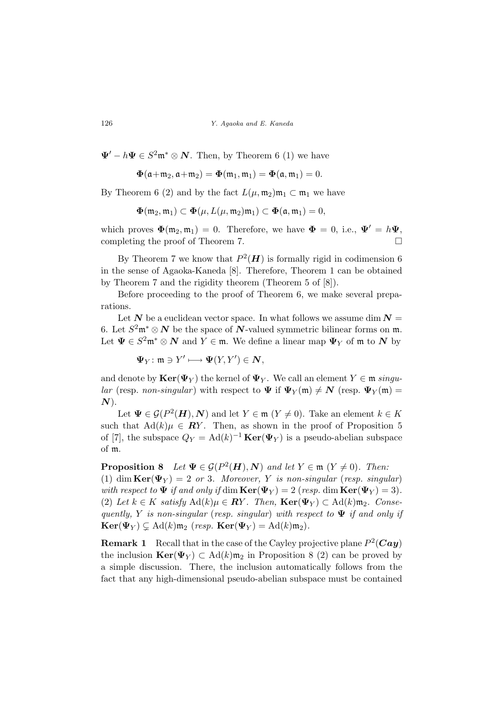$\Psi' - h\Psi \in S^2 \mathfrak{m}^* \otimes \mathbb{N}$ . Then, by Theorem 6 (1) we have

$$
\Phi(\mathfrak{a}+\mathfrak{m}_2,\mathfrak{a}+\mathfrak{m}_2)=\Phi(\mathfrak{m}_1,\mathfrak{m}_1)=\Phi(\mathfrak{a},\mathfrak{m}_1)=0.
$$

By Theorem 6 (2) and by the fact  $L(\mu, \mathfrak{m}_2) \mathfrak{m}_1 \subset \mathfrak{m}_1$  we have

$$
\Phi(\mathfrak{m}_2,\mathfrak{m}_1)\subset \Phi(\mu,L(\mu,\mathfrak{m}_2)\mathfrak{m}_1)\subset \Phi(\mathfrak{a},\mathfrak{m}_1)=0,
$$

which proves  $\Phi(\mathfrak{m}_2, \mathfrak{m}_1) = 0$ . Therefore, we have  $\Phi = 0$ , i.e.,  $\Psi' = h\Psi$ . completing the proof of Theorem 7.  $\Box$ 

By Theorem 7 we know that  $P^2(\mathbf{H})$  is formally rigid in codimension 6 in the sense of Agaoka-Kaneda [8]. Therefore, Theorem 1 can be obtained by Theorem 7 and the rigidity theorem (Theorem 5 of [8]).

Before proceeding to the proof of Theorem 6, we make several preparations.

Let  $N$  be a euclidean vector space. In what follows we assume dim  $N =$ 6. Let  $S^2\mathfrak{m}^*\otimes N$  be the space of N-valued symmetric bilinear forms on  $\mathfrak{m}$ . Let  $\Psi \in S^2 \mathfrak{m}^* \otimes N$  and  $Y \in \mathfrak{m}$ . We define a linear map  $\Psi_Y$  of  $\mathfrak{m}$  to  $N$  by

$$
\Psi_Y \colon \mathfrak{m} \ni Y' \longmapsto \Psi(Y,Y') \in \mathbf{N},
$$

and denote by  $\text{Ker}(\Psi_Y)$  the kernel of  $\Psi_Y$ . We call an element  $Y \in \mathfrak{m}$  singular (resp. non-singular) with respect to  $\Psi$  if  $\Psi_Y(\mathfrak{m}) \neq N$  (resp.  $\Psi_Y(\mathfrak{m}) =$  $N$ ).

Let  $\Psi \in \mathcal{G}(P^2(\mathbf{H}), \mathbf{N})$  and let  $Y \in \mathfrak{m}$   $(Y \neq 0)$ . Take an element  $k \in K$ such that  $\text{Ad}(k)\mu \in \mathbb{R}Y$ . Then, as shown in the proof of Proposition 5 of [7], the subspace  $Q_Y = \text{Ad}(k)^{-1} \text{Ker}(\Psi_Y)$  is a pseudo-abelian subspace of m.

**Proposition 8** Let  $\Psi \in \mathcal{G}(P^2(\mathbf{H}), \mathbf{N})$  and let  $Y \in \mathfrak{m}$   $(Y \neq 0)$ . Then: (1) dim  $\text{Ker}(\Psi_Y) = 2$  or 3. Moreover, Y is non-singular (resp. singular) with respect to  $\Psi$  if and only if dim  $\text{Ker}(\Psi_Y) = 2$  (resp. dim  $\text{Ker}(\Psi_Y) = 3$ ). (2) Let  $k \in K$  satisfy  $\text{Ad}(k)\mu \in \mathbb{R}Y$ . Then,  $\text{Ker}(\Psi_Y) \subset \text{Ad}(k)\mathfrak{m}_2$ . Consequently, Y is non-singular (resp. singular) with respect to  $\Psi$  if and only if  $\text{Ker}(\Psi_Y) \subsetneq \text{Ad}(k)\mathfrak{m}_2$  (resp.  $\text{Ker}(\Psi_Y) = \text{Ad}(k)\mathfrak{m}_2$ ).

**Remark 1** Recall that in the case of the Cayley projective plane  $P^2(Cay)$ the inclusion  $\text{Ker}(\Psi_Y) \subset \text{Ad}(k)\mathfrak{m}_2$  in Proposition 8 (2) can be proved by a simple discussion. There, the inclusion automatically follows from the fact that any high-dimensional pseudo-abelian subspace must be contained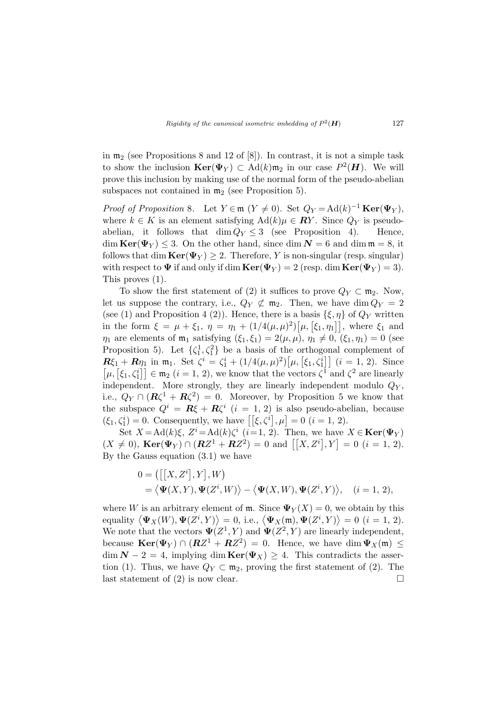in  $m_2$  (see Propositions 8 and 12 of [8]). In contrast, it is not a simple task to show the inclusion  $\text{Ker}(\Psi_Y) \subset \text{Ad}(k) \mathfrak{m}_2$  in our case  $P^2(\mathbf{H})$ . We will prove this inclusion by making use of the normal form of the pseudo-abelian subspaces not contained in  $m_2$  (see Proposition 5).

Proof of Proposition 8. Let  $Y \in \mathfrak{m}$   $(Y \neq 0)$ . Set  $Q_Y = \text{Ad}(k)^{-1} \text{Ker}(\Psi_Y)$ , where  $k \in K$  is an element satisfying  $\text{Ad}(k)\mu \in \mathbb{R}Y$ . Since  $Q_Y$  is pseudoabelian, it follows that  $\dim Q_Y \leq 3$  (see Proposition 4). Hence,  $\dim \text{Ker}(\Psi_Y) \leq 3$ . On the other hand, since  $\dim N = 6$  and  $\dim \mathfrak{m} = 8$ , it follows that dim  $\text{Ker}(\Psi_Y) \geq 2$ . Therefore, Y is non-singular (resp. singular) with respect to  $\Psi$  if and only if dim  $\text{Ker}(\Psi_Y) = 2$  (resp. dim  $\text{Ker}(\Psi_Y) = 3$ ). This proves (1).

To show the first statement of (2) it suffices to prove  $Q_Y \subset \mathfrak{m}_2$ . Now, let us suppose the contrary, i.e.,  $Q_Y \not\subset m_2$ . Then, we have dim  $Q_Y = 2$ (see (1) and Proposition 4 (2)). Hence, there is a basis  $\{\xi, \eta\}$  of  $Q_Y$  written (see (1) and Proposition 4 (2)). Hence, there is a basis  $\{\xi, \eta\}$  of  $\zeta$  written<br>in the form  $\xi = \mu + \xi_1$ ,  $\eta = \eta_1 + (1/4(\mu, \mu)^2)[\mu, [\xi_1, \eta_1]]$ , where  $\xi_1$  and  $\eta_1$  are elements of  $\mathfrak{m}_1$  satisfying  $(\xi_1, \xi_1) = 2(\mu, \mu), \eta_1 \neq 0, (\xi_1, \eta_1) = 0$  (see Proposition 5). Let  $\{\zeta_1^1, \zeta_1^2\}$  be a basis of the orthogonal complement of **R**ξ<sub>1</sub> + Rη<sub>1</sub> in m<sub>1</sub>. Set  $\zeta^i = \zeta^i_1 + (1/4(\mu, \mu)^2)[\mu, [\xi_1, \zeta^i_1]]$  (*i* = 1, 2). Since  $\mathcal{L}\{x_1 + \mathbf{A}\eta_1 \text{ in } \mathfrak{m}_1\}$ . Set  $\zeta = \zeta_1 + (1/4(\mu, \mu))[\mu, \zeta_1, \zeta_1]$   $(i = 1, 2)$ . Since  $\mu$ ,  $[\zeta_1, \zeta_1^i] \in \mathfrak{m}_2$   $(i = 1, 2)$ , we know that the vectors  $\zeta^1$  and  $\zeta^2$  are linearly independent. More strongly, they are linearly independent modulo  $Q<sub>Y</sub>$ , i.e.,  $Q_Y \cap (\mathbf{R}\zeta^1 + \mathbf{R}\zeta^2) = 0$ . Moreover, by Proposition 5 we know that the subspace  $Q^i = \mathbf{R}\xi + \mathbf{R}\zeta^i$   $(i = 1, 2)$  is also pseudo-abelian, because the subspace  $Q = R\zeta + R\zeta$   $(i = 1, 2)$  is also pseudo-above  $(\xi_1, \zeta_1^i) = 0$ . Consequently, we have  $[[\xi, \zeta^i], \mu] = 0$   $(i = 1, 2)$ .

Set  $X = \text{Ad}(k)\xi$ ,  $Z^i = \text{Ad}(k)\zeta^i$   $(i=1, 2)$ . Then, we have  $X \in \text{Ker}(\Psi_Y)$ Set  $X = \text{Ad}(K)\zeta$ ,  $Z = \text{Ad}(K)\zeta$  ( $i = 1, 2$ ). Then, we have  $X \in \text{Ker}(\Psi Y)$ <br>  $(X \neq 0)$ ,  $\text{Ker}(\Psi_Y) \cap (RZ^1 + RZ^2) = 0$  and  $[[X, Z^i], Y] = 0$  ( $i = 1, 2$ ). By the Gauss equation  $(3.1)$  we have

$$
0 = \left( \left[ \left[ X, Z^i \right], Y \right], W \right)
$$
  
= \langle \mathbf{\Psi}(X, Y), \mathbf{\Psi}(Z^i, W) \rangle - \langle \mathbf{\Psi}(X, W), \mathbf{\Psi}(Z^i, Y) \rangle, \quad (i = 1, 2),

where W is an arbitrary element of m. Since  $\Psi_Y(X) = 0$ , we obtain by this where w is an arbitrary element of m. since  $\Psi_Y^Y(X) = 0$ , we obtain by this equality  $\langle \Psi_X(W), \Psi(Z^i, Y) \rangle = 0$ , i.e.,  $\langle \Psi_X(\mathfrak{m}), \Psi(Z^i, Y) \rangle = 0$   $(i = 1, 2)$ . We note that the vectors  $\Psi(Z^1, Y)$  and  $\Psi(Z^2, Y)$  are linearly independent, because  $\text{Ker}(\Psi_Y) \cap (RZ^1 + RZ^2) = 0$ . Hence, we have dim  $\Psi_X(\mathfrak{m}) \leq$  $\dim \mathbf{N} - 2 = 4$ , implying  $\dim \text{Ker}(\Psi_X) \geq 4$ . This contradicts the assertion (1). Thus, we have  $Q_Y \subset \mathfrak{m}_2$ , proving the first statement of (2). The last statement of (2) is now clear.  $\Box$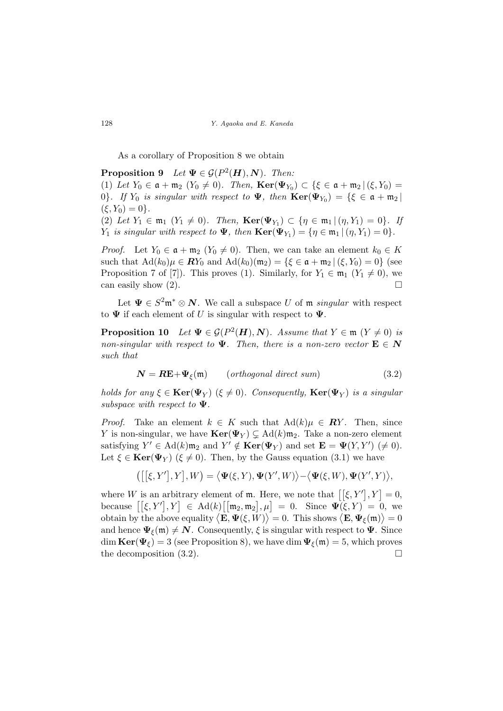As a corollary of Proposition 8 we obtain

**Proposition 9** Let  $\Psi \in \mathcal{G}(P^2(\mathbf{H}), \mathbf{N})$ . Then: (1) Let  $Y_0 \in \mathfrak{a} + \mathfrak{m}_2 \ (Y_0 \neq 0)$ . Then,  $\text{Ker}(\Psi_{Y_0}) \subset \{ \xi \in \mathfrak{a} + \mathfrak{m}_2 \ | \ (\xi, Y_0) =$ 0}. If  $Y_0$  is singular with respect to  $\Psi$ , then  $\text{Ker}(\Psi_{Y_0}) = \{ \xi \in \mathfrak{a} + \mathfrak{m}_2 \mid \xi \in \mathfrak{a} + \mathfrak{m}_1 \}$  $(\xi, Y_0) = 0$ .

(2) Let  $Y_1 \in \mathfrak{m}_1$   $(Y_1 \neq 0)$ . Then,  $\text{Ker}(\Psi_{Y_1}) \subset \{\eta \in \mathfrak{m}_1 | (\eta, Y_1) = 0\}$ . If  $Y_1$  is singular with respect to  $\Psi$ , then  $\text{Ker}(\Psi_{Y_1}) = \{ \eta \in \mathfrak{m}_1 \, | \, (\eta, Y_1) = 0 \}.$ 

*Proof.* Let  $Y_0 \in \mathfrak{a} + \mathfrak{m}_2$   $(Y_0 \neq 0)$ . Then, we can take an element  $k_0 \in K$ such that  $\text{Ad}(k_0)\mu \in \mathbb{R}Y_0$  and  $\text{Ad}(k_0)(\mathfrak{m}_2) = \{\xi \in \mathfrak{a} + \mathfrak{m}_2 \mid (\xi, Y_0) = 0\}$  (see Proposition 7 of [7]). This proves (1). Similarly, for  $Y_1 \in \mathfrak{m}_1$   $(Y_1 \neq 0)$ , we can easily show  $(2)$ .

Let  $\Psi \in S^2 \mathfrak{m}^* \otimes \mathbb{N}$ . We call a subspace U of  $\mathfrak{m}$  singular with respect to  $\Psi$  if each element of U is singular with respect to  $\Psi$ .

**Proposition 10** Let  $\Psi \in \mathcal{G}(P^2(\mathbf{H}), \mathbf{N})$ . Assume that  $Y \in \mathfrak{m}$   $(Y \neq 0)$  is non-singular with respect to  $\Psi$ . Then, there is a non-zero vector  $\mathbf{E} \in \mathbf{N}$ such that

$$
N = RE + \Psi_{\xi}(\mathfrak{m}) \qquad (orthogonal\ direct\ sum) \tag{3.2}
$$

holds for any  $\xi \in \text{Ker}(\Psi_Y)$  ( $\xi \neq 0$ ). Consequently,  $\text{Ker}(\Psi_Y)$  is a singular subspace with respect to  $\Psi$ .

*Proof.* Take an element  $k \in K$  such that  $\text{Ad}(k)\mu \in \mathbb{R}Y$ . Then, since Y is non-singular, we have  $\text{Ker}(\Psi_Y) \subsetneq \text{Ad}(k)\mathfrak{m}_2$ . Take a non-zero element satisfying  $Y' \in \mathrm{Ad}(k) \mathfrak{m}_2$  and  $Y' \notin \mathbf{Ker}(\Psi_Y)$  and set  $\mathbf{E} = \Psi(Y, Y') \neq 0$ . Let  $\xi \in \text{Ker}(\Psi_Y)$  ( $\xi \neq 0$ ). Then, by the Gauss equation (3.1) we have

$$
\left(\left[\left[\xi,Y'\right],Y\right],W\right)=\left\langle \mathbf{\Psi}(\xi,Y),\mathbf{\Psi}(Y',W)\right\rangle -\left\langle \mathbf{\Psi}(\xi,W),\mathbf{\Psi}(Y',Y)\right\rangle ,
$$

where W is an arbitrary element of **m**. Here, we note that  $[[\xi, Y'], Y] = 0$ , where W is an arbitrary element of iii. Here, we note that  $\lfloor [\zeta, I^*], I \rfloor = 0$ ,<br>because  $\lfloor [\zeta, Y'], Y \rfloor \in \text{Ad}(k) \lfloor [\mathfrak{m}_2, \mathfrak{m}_2], \mu \rfloor = 0$ . Since  $\Psi(\zeta, Y) = 0$ , we because  $[\xi, I], I] \in \text{Aut}(k)$   $[\mu_2, \mu_2], \mu_1 = 0$ . Since  $\Psi(\xi, I) = 0$ , we<br>obtain by the above equality  $\langle \mathbf{E}, \Psi(\xi, W) \rangle = 0$ . This shows  $\langle \mathbf{E}, \Psi(\xi, W) \rangle = 0$ and hence  $\Psi_{\xi}(\mathfrak{m}) \neq \mathbf{N}$ . Consequently,  $\xi$  is singular with respect to  $\Psi$ . Since dim  $\text{Ker}(\Psi_{\xi}) = 3$  (see Proposition 8), we have dim  $\Psi_{\xi}(\mathfrak{m}) = 5$ , which proves the decomposition  $(3.2)$ .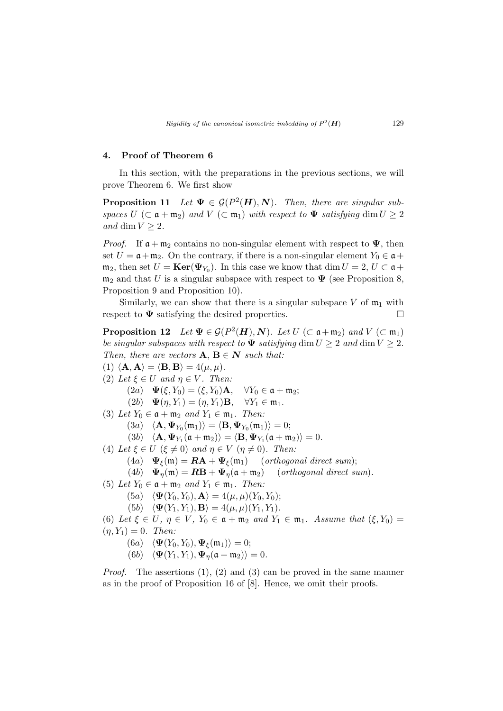#### 4. Proof of Theorem 6

In this section, with the preparations in the previous sections, we will prove Theorem 6. We first show

**Proposition 11** Let  $\Psi \in \mathcal{G}(P^2(\mathbf{H}), \mathbf{N})$ . Then, there are singular subspaces  $U$  ( $\subset \mathfrak{a} + \mathfrak{m}_2$ ) and  $V$  ( $\subset \mathfrak{m}_1$ ) with respect to  $\Psi$  satisfying dim  $U \geq 2$ and dim  $V \geq 2$ .

*Proof.* If  $\mathfrak{a} + \mathfrak{m}_2$  contains no non-singular element with respect to  $\Psi$ , then set  $U = \mathfrak{a} + \mathfrak{m}_2$ . On the contrary, if there is a non-singular element  $Y_0 \in \mathfrak{a}$ +  $\mathfrak{m}_2$ , then set  $U = \text{Ker}(\Psi_{Y_0})$ . In this case we know that  $\dim U = 2, U \subset \mathfrak{a}$  +  $m_2$  and that U is a singular subspace with respect to  $\Psi$  (see Proposition 8, Proposition 9 and Proposition 10).

Similarly, we can show that there is a singular subspace V of  $m_1$  with respect to  $\Psi$  satisfying the desired properties.  $\Box$ 

**Proposition 12** Let  $\Psi \in \mathcal{G}(P^2(\mathbf{H}), \mathbf{N})$ . Let  $U \subset \mathfrak{a} + \mathfrak{m}_2$  and  $V \subset \mathfrak{m}_1$ be singular subspaces with respect to  $\Psi$  satisfying dim  $U \geq 2$  and dim  $V \geq 2$ . Then, there are vectors  $\mathbf{A}, \mathbf{B} \in \mathbf{N}$  such that: (1)  $\langle \mathbf{A}, \mathbf{A} \rangle = \langle \mathbf{B}, \mathbf{B} \rangle = 4(\mu, \mu).$ (2) Let  $\xi \in U$  and  $\eta \in V$ . Then:  $(2a) \quad \Psi(\xi, Y_0) = (\xi, Y_0) \mathbf{A}, \quad \forall Y_0 \in \mathfrak{a} + \mathfrak{m}_2;$ (2b)  $\mathbf{\Psi}(\eta, Y_1) = (\eta, Y_1) \mathbf{B}, \quad \forall Y_1 \in \mathfrak{m}_1.$ (3) Let  $Y_0 \in \mathfrak{a} + \mathfrak{m}_2$  and  $Y_1 \in \mathfrak{m}_1$ . Then:  $(3a) \quad \langle \mathbf{A}, \mathbf{\Psi}_{Y_0}(\mathfrak{m}_1)\rangle = \langle \mathbf{B}, \mathbf{\Psi}_{Y_0}(\mathfrak{m}_1)\rangle = 0;$ (3b)  $\langle \mathbf{A}, \mathbf{\Psi}_{Y_1}(\mathfrak{a} + \mathfrak{m}_2) \rangle = \langle \mathbf{B}, \mathbf{\Psi}_{Y_1}(\mathfrak{a} + \mathfrak{m}_2) \rangle = 0.$ (4) Let  $\xi \in U$  ( $\xi \neq 0$ ) and  $\eta \in V$  ( $\eta \neq 0$ ). Then: (4a)  $\Psi_{\xi}(\mathfrak{m}) = \mathbf{R}\mathbf{A} + \Psi_{\xi}(\mathfrak{m}_1)$  (orthogonal direct sum); (4b)  $\Psi_{\eta}(\mathfrak{m}) = \mathbf{R}\mathbf{B} + \Psi_{\eta}(\mathfrak{a} + \mathfrak{m}_2)$  (orthogonal direct sum). (5) Let  $Y_0 \in \mathfrak{a} + \mathfrak{m}_2$  and  $Y_1 \in \mathfrak{m}_1$ . Then:  $(5a) \langle \mathbf{\Psi}(Y_0, Y_0), \mathbf{A} \rangle = 4(\mu, \mu)(Y_0, Y_0);$ (5b)  $\langle \mathbf{\Psi}(Y_1, Y_1), \mathbf{B} \rangle = 4(\mu, \mu)(Y_1, Y_1).$ (6) Let  $\xi \in U$ ,  $\eta \in V$ ,  $Y_0 \in \mathfrak{a} + \mathfrak{m}_2$  and  $Y_1 \in \mathfrak{m}_1$ . Assume that  $(\xi, Y_0) =$  $(\eta, Y_1) = 0$ . Then:  $(6a) \langle \mathbf{\Psi}(Y_0, Y_0), \mathbf{\Psi}_{\xi}(\mathfrak{m}_1)\rangle = 0;$ (6b)  $\langle \mathbf{\Psi}(Y_1, Y_1), \mathbf{\Psi}_n(\mathfrak{a} + \mathfrak{m}_2) \rangle = 0.$ 

*Proof.* The assertions  $(1)$ ,  $(2)$  and  $(3)$  can be proved in the same manner as in the proof of Proposition 16 of [8]. Hence, we omit their proofs.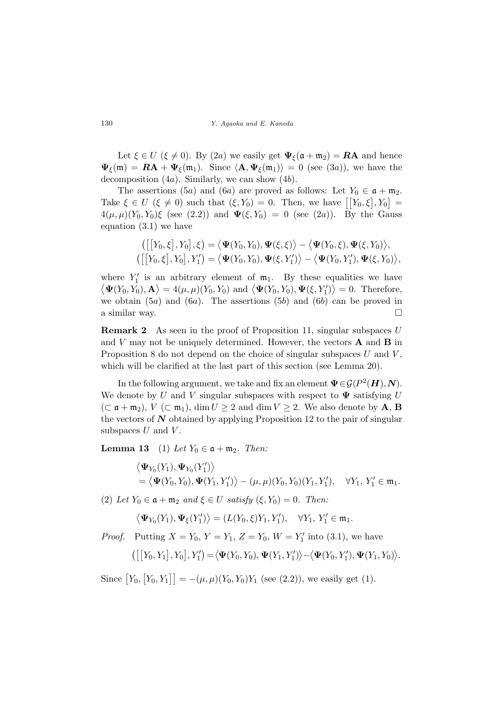130 Y. Agaoka and E. Kaneda

Let  $\xi \in U$  ( $\xi \neq 0$ ). By (2a) we easily get  $\Psi_{\xi}(\mathfrak{a} + \mathfrak{m}_2) = \mathbb{R}A$  and hence  $\Psi_{\xi}(\mathfrak{m}) = \mathbf{RA} + \Psi_{\xi}(\mathfrak{m}_1)$ . Since  $\langle \mathbf{A}, \Psi_{\xi}(\mathfrak{m}_1) \rangle = 0$  (see (3a)), we have the decomposition  $(4a)$ . Similarly, we can show  $(4b)$ .

The assertions (5a) and (6a) are proved as follows: Let  $Y_0 \in \mathfrak{a} + \mathfrak{m}_2$ . The assertions (5*a*) and (6*a*) are proved as follows: Let  $T_0 \in \mathfrak{a} + \mathfrak{m}_2$ .<br>Take  $\xi \in U$  ( $\xi \neq 0$ ) such that  $(\xi, Y_0) = 0$ . Then, we have  $\lceil Y_0, \xi \rceil, Y_0 \rceil =$  $4(\mu, \mu)(Y_0, Y_0)\xi$  (see (2.2)) and  $\Psi(\xi, Y_0) = 0$  (see (2a)). By the Gauss equation (3.1) we have

$$
\begin{aligned}\n\left(\left[\left[Y_0,\xi\right],Y_0\right],\xi\right) &= \left\langle \mathbf{\Psi}(Y_0,Y_0),\mathbf{\Psi}(\xi,\xi)\right\rangle - \left\langle \mathbf{\Psi}(Y_0,\xi),\mathbf{\Psi}(\xi,Y_0)\right\rangle, \\
\left(\left[\left[Y_0,\xi\right],Y_0\right],Y_1'\right) &= \left\langle \mathbf{\Psi}(Y_0,Y_0),\mathbf{\Psi}(\xi,Y_1')\right\rangle - \left\langle \mathbf{\Psi}(Y_0,Y_1'),\mathbf{\Psi}(\xi,Y_0)\right\rangle,\n\end{aligned}
$$

where  $Y'_1$  is an arbitrary element of  $m_1$ . By these equalities we have There  $Y_1$  is an arbitrary element of  $\mathfrak{m}_1$ . By these equanties we have  $\Psi(Y_0, Y_0), \mathbf{A} \rangle = 4(\mu, \mu)(Y_0, Y_0)$  and  $\langle \Psi(Y_0, Y_0), \Psi(\xi, Y'_1) \rangle = 0$ . Therefore, we obtain  $(5a)$  and  $(6a)$ . The assertions  $(5b)$  and  $(6b)$  can be proved in a similar way.  $\Box$ 

**Remark 2** As seen in the proof of Proposition 11, singular subspaces  $U$ and  $V$  may not be uniquely determined. However, the vectors  $\bf{A}$  and  $\bf{B}$  in Proposition 8 do not depend on the choice of singular subspaces  $U$  and  $V$ , which will be clarified at the last part of this section (see Lemma 20).

In the following argument, we take and fix an element  $\Psi \in \mathcal{G}(P^2(\boldsymbol{H}), \boldsymbol{N}).$ We denote by U and V singular subspaces with respect to  $\Psi$  satisfying U  $(\subset \mathfrak{a} + \mathfrak{m}_2)$ ,  $V (\subset \mathfrak{m}_1)$ ,  $\dim U \geq 2$  and  $\dim V \geq 2$ . We also denote by **A**, **B** the vectors of  $N$  obtained by applying Proposition 12 to the pair of singular subspaces  $U$  and  $V$ .

**Lemma 13** (1) Let  $Y_0 \in \mathfrak{a} + \mathfrak{m}_2$ . Then:

$$
\langle \mathbf{\Psi}_{Y_0}(Y_1), \mathbf{\Psi}_{Y_0}(Y'_1) \rangle
$$
  
=  $\langle \mathbf{\Psi}(Y_0, Y_0), \mathbf{\Psi}(Y_1, Y'_1) \rangle - (\mu, \mu)(Y_0, Y_0)(Y_1, Y'_1), \quad \forall Y_1, Y'_1 \in \mathfrak{m}_1.$ 

(2) Let  $Y_0 \in \mathfrak{a} + \mathfrak{m}_2$  and  $\xi \in U$  satisfy  $(\xi, Y_0) = 0$ . Then:

$$
\left\langle \mathbf{\Psi}_{Y_0}(Y_1), \mathbf{\Psi}_{\xi}(Y'_1) \right\rangle = (L(Y_0, \xi)Y_1, Y'_1), \quad \forall Y_1, Y'_1 \in \mathfrak{m}_1.
$$

*Proof.* Putting  $X = Y_0, Y = Y_1, Z = Y_0, W = Y'_1$  into (3.1), we have

$$
\left(\left[\left[Y_0,Y_1\right],Y_0\right],Y_1'\right)=\left\langle \mathbf{\Psi}(Y_0,Y_0),\mathbf{\Psi}(Y_1,Y_1')\right\rangle-\left\langle \mathbf{\Psi}(Y_0,Y_1'),\mathbf{\Psi}(Y_1,Y_0)\right\rangle.
$$

Since  $Y_0$ , £  $[Y_0, Y_1]$  =  $-(\mu, \mu)(Y_0, Y_0)Y_1$  (see (2.2)), we easily get (1).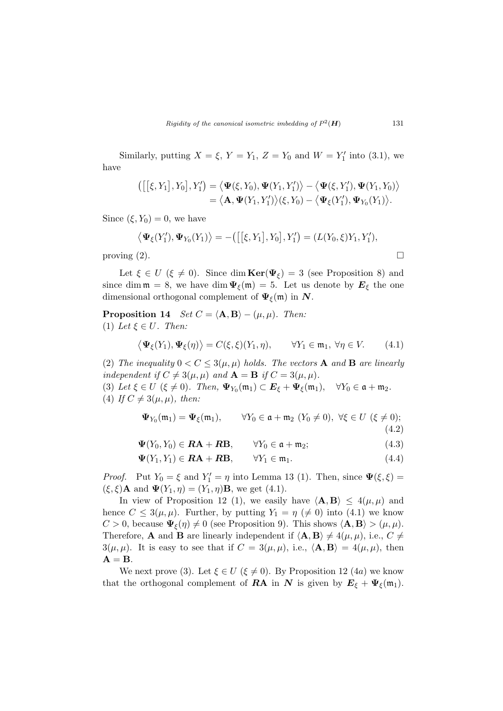Similarly, putting  $X = \xi$ ,  $Y = Y_1$ ,  $Z = Y_0$  and  $W = Y'_1$  into (3.1), we have

$$
\langle [[\xi,Y_1],Y_0],Y'_1\rangle = \langle \mathbf{\Psi}(\xi,Y_0),\mathbf{\Psi}(Y_1,Y'_1)\rangle - \langle \mathbf{\Psi}(\xi,Y'_1),\mathbf{\Psi}(Y_1,Y_0)\rangle = \langle \mathbf{A},\mathbf{\Psi}(Y_1,Y'_1)\rangle(\xi,Y_0) - \langle \mathbf{\Psi}_{\xi}(Y'_1),\mathbf{\Psi}_{Y_0}(Y_1)\rangle.
$$

Since  $(\xi, Y_0) = 0$ , we have

$$
\langle \mathbf{\Psi}_{\xi}(Y'_1), \mathbf{\Psi}_{Y_0}(Y_1) \rangle = -\big( [\big[\xi, Y_1], Y_0], Y'_1 \big) = (L(Y_0, \xi)Y_1, Y'_1),
$$
 proving (2).

Let  $\xi \in U$  ( $\xi \neq 0$ ). Since dim **Ker**( $\Psi_{\xi}$ ) = 3 (see Proposition 8) and since dim  $\mathfrak{m} = 8$ , we have dim  $\Psi_{\xi}(\mathfrak{m}) = 5$ . Let us denote by  $E_{\xi}$  the one dimensional orthogonal complement of  $\Psi_{\xi}(\mathfrak{m})$  in  $N$ .

**Proposition 14** Set  $C = \langle \mathbf{A}, \mathbf{B} \rangle - (\mu, \mu)$ . Then: (1) Let  $\xi \in U$ . Then:

$$
\langle \mathbf{\Psi}_{\xi}(Y_1), \mathbf{\Psi}_{\xi}(\eta) \rangle = C(\xi, \xi)(Y_1, \eta), \qquad \forall Y_1 \in \mathfrak{m}_1, \ \forall \eta \in V. \tag{4.1}
$$

(2) The inequality  $0 < C \leq 3(\mu, \mu)$  holds. The vectors **A** and **B** are linearly independent if  $C \neq 3(\mu, \mu)$  and  $\mathbf{A} = \mathbf{B}$  if  $C = 3(\mu, \mu)$ .

(3) Let  $\xi \in U$  ( $\xi \neq 0$ ). Then,  $\Psi_{Y_0}(\mathfrak{m}_1) \subset E_{\xi} + \Psi_{\xi}(\mathfrak{m}_1)$ ,  $\forall Y_0 \in \mathfrak{a} + \mathfrak{m}_2$ . (4) If  $C \neq 3(\mu, \mu)$ , then:

$$
\Psi_{Y_0}(\mathfrak{m}_1) = \Psi_{\xi}(\mathfrak{m}_1), \qquad \forall Y_0 \in \mathfrak{a} + \mathfrak{m}_2 \ (Y_0 \neq 0), \ \forall \xi \in U \ (\xi \neq 0);
$$
\n(4.2)

 $\Psi(Y_0, Y_0) \in \mathbf{RA} + \mathbf{RB}, \qquad \forall Y_0 \in \mathfrak{a} + \mathfrak{m}_2;$  (4.3)

$$
\mathbf{\Psi}(Y_1, Y_1) \in \mathbf{RA} + \mathbf{RB}, \qquad \forall Y_1 \in \mathfrak{m}_1. \tag{4.4}
$$

*Proof.* Put  $Y_0 = \xi$  and  $Y'_1 = \eta$  into Lemma 13 (1). Then, since  $\Psi(\xi, \xi) =$  $(\xi, \xi)$ **A** and  $\Psi(Y_1, \eta) = (Y_1, \eta)$ **B**, we get (4.1).

In view of Proposition 12 (1), we easily have  $\langle \mathbf{A}, \mathbf{B} \rangle \le 4(\mu, \mu)$  and hence  $C \leq 3(\mu, \mu)$ . Further, by putting  $Y_1 = \eta \ (\neq 0)$  into (4.1) we know  $C > 0$ , because  $\Psi_{\xi}(\eta) \neq 0$  (see Proposition 9). This shows  $\langle \mathbf{A}, \mathbf{B} \rangle > (\mu, \mu)$ . Therefore, **A** and **B** are linearly independent if  $\langle \mathbf{A}, \mathbf{B} \rangle \neq 4(\mu, \mu)$ , i.e.,  $C \neq$  $3(\mu, \mu)$ . It is easy to see that if  $C = 3(\mu, \mu)$ , i.e.,  $\langle \mathbf{A}, \mathbf{B} \rangle = 4(\mu, \mu)$ , then  $A = B$ .

We next prove (3). Let  $\xi \in U$  ( $\xi \neq 0$ ). By Proposition 12 (4*a*) we know that the orthogonal complement of **RA** in N is given by  $E_{\xi} + \Psi_{\xi}(\mathfrak{m}_1)$ .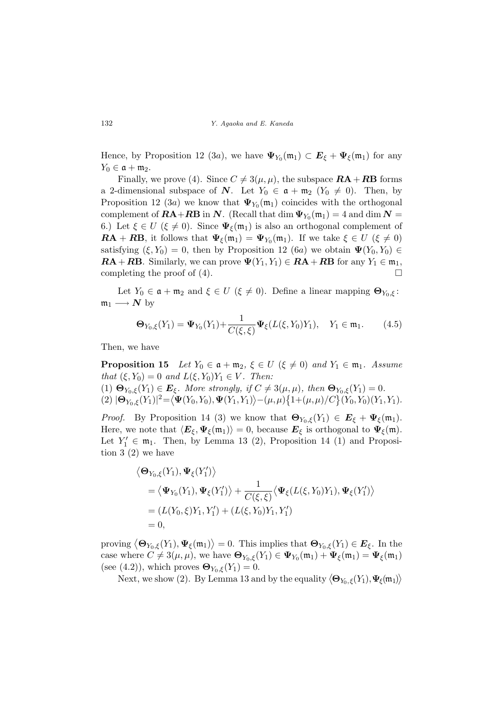Hence, by Proposition 12 (3*a*), we have  $\Psi_{Y_0}(\mathfrak{m}_1) \subset E_{\xi} + \Psi_{\xi}(\mathfrak{m}_1)$  for any  $Y_0 \in \mathfrak{a} + \mathfrak{m}_2.$ 

Finally, we prove (4). Since  $C \neq 3(\mu, \mu)$ , the subspace  $\mathbf{RA} + \mathbf{RB}$  forms a 2-dimensional subspace of N. Let  $Y_0 \in \mathfrak{a} + \mathfrak{m}_2$   $(Y_0 \neq 0)$ . Then, by Proposition 12 (3*a*) we know that  $\Psi_{Y_0}(\mathfrak{m}_1)$  coincides with the orthogonal complement of  $\pmb{R}\pmb{\Lambda}+\pmb{R}\pmb{\mathrm{B}}$  in  $\pmb{N}$ . (Recall that  $\dim\Psi_{Y_0}(\mathfrak{m}_1)=4$  and  $\dim\pmb{N}=2$ 6.) Let  $\xi \in U$  ( $\xi \neq 0$ ). Since  $\Psi_{\xi}(\mathfrak{m}_1)$  is also an orthogonal complement of  $\mathbf{RA} + \mathbf{RB}$ , it follows that  $\Psi_{\xi}(\mathfrak{m}_1) = \Psi_{Y_0}(\mathfrak{m}_1)$ . If we take  $\xi \in U$  ( $\xi \neq 0$ ) satisfying  $(\xi, Y_0) = 0$ , then by Proposition 12 (6a) we obtain  $\Psi(Y_0, Y_0) \in$  $\mathbf{RA} + \mathbf{RB}$ . Similarly, we can prove  $\Psi(Y_1, Y_1) \in \mathbf{RA} + \mathbf{RB}$  for any  $Y_1 \in \mathfrak{m}_1$ , completing the proof of  $(4)$ .

Let  $Y_0 \in \mathfrak{a} + \mathfrak{m}_2$  and  $\xi \in U$  ( $\xi \neq 0$ ). Define a linear mapping  $\mathbf{\Theta}_{Y_0,\xi}$ :  $\mathfrak{m}_1 \longrightarrow N$  by

$$
\mathbf{\Theta}_{Y_0,\xi}(Y_1) = \mathbf{\Psi}_{Y_0}(Y_1) + \frac{1}{C(\xi,\xi)} \mathbf{\Psi}_{\xi}(L(\xi,Y_0)Y_1), \quad Y_1 \in \mathfrak{m}_1. \tag{4.5}
$$

Then, we have

**Proposition 15** Let  $Y_0 \in \mathfrak{a} + \mathfrak{m}_2$ ,  $\xi \in U$  ( $\xi \neq 0$ ) and  $Y_1 \in \mathfrak{m}_1$ . Assume that  $(\xi, Y_0) = 0$  and  $L(\xi, Y_0)Y_1 \in V$ . Then:

(1)  $\mathbf{\Theta}_{Y_0,\xi}(Y_1) \in \mathbf{E}_{\xi}$ . More strongly, if  $C \neq 3(\mu,\mu)$ , then  $\mathbf{\Theta}_{Y_0,\xi}(Y_1) = 0$ .  $(1) \ \mathbf{\Theta}_{Y_0,\xi}(Y_1) \in E_{\xi}$ <br>  $(2) \ |\mathbf{\Theta}_{Y_0,\xi}(Y_1)|^2 = \langle$  $\Psi(Y_0,Y_0), \Psi(Y_1,Y_1)$  $\mathbf{C}$  $-(\mu,\mu)$  $\{1+(\mu,\mu)/C\}$   $(Y_0, Y_0)(Y_1, Y_1)$ .

*Proof.* By Proposition 14 (3) we know that  $\mathbf{\Theta}_{Y_0,\xi}(Y_1) \in \mathbf{E}_{\xi} + \Psi_{\xi}(\mathfrak{m}_1)$ . Here, we note that  $\langle E_{\xi}, \Psi_{\xi}(\mathfrak{m}_1)\rangle = 0$ , because  $E_{\xi}$  is orthogonal to  $\Psi_{\xi}(\mathfrak{m})$ . Let  $Y_1' \in \mathfrak{m}_1$ . Then, by Lemma 13 (2), Proposition 14 (1) and Proposition 3 (2) we have

$$
\langle \mathbf{\Theta}_{Y_0,\xi}(Y_1), \mathbf{\Psi}_{\xi}(Y'_1) \rangle
$$
  
=  $\langle \mathbf{\Psi}_{Y_0}(Y_1), \mathbf{\Psi}_{\xi}(Y'_1) \rangle + \frac{1}{C(\xi,\xi)} \langle \mathbf{\Psi}_{\xi}(L(\xi,Y_0)Y_1), \mathbf{\Psi}_{\xi}(Y'_1) \rangle$   
=  $(L(Y_0,\xi)Y_1, Y'_1) + (L(\xi,Y_0)Y_1, Y'_1)$   
= 0,

proving  $\big\langle \mathbf{\Theta}_{Y_0,\xi}(Y_1),\mathbf{\Psi}_\xi(\mathfrak{m}_1)\big\rangle$ ® = 0. This implies that  $\mathbf{\Theta}_{Y_0,\xi}(Y_1) \in \mathbf{E}_{\xi}$ . In the case where  $C \neq 3(\mu, \mu)$ , we have  $\mathbf{\Theta}_{Y_0, \xi}(Y_1) \in \Psi_{Y_0}(\mathfrak{m}_1) + \Psi_{\xi}(\mathfrak{m}_1) = \Psi_{\xi}(\mathfrak{m}_1)$ (see (4.2)), which proves  $\mathbf{\Theta}_{Y_0,\xi}(Y_1)=0$ . ®

(4.2)), which proves  $\mathbf{\Theta}_{Y_0,\xi}(Y_1) = 0$ .<br>Next, we show (2). By Lemma 13 and by the equality  $\langle \mathbf{\Theta}_{Y_0,\xi}(Y_1), \mathbf{\Psi}_{\xi}(\mathfrak{m}_1) \rangle$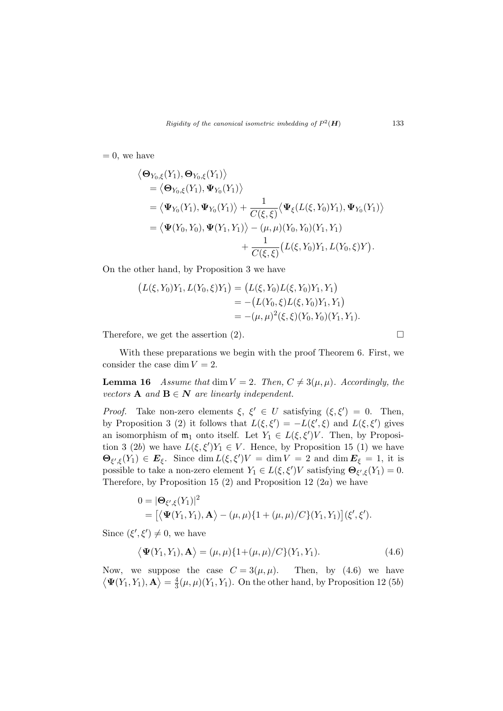$= 0$ , we have

$$
\langle \mathbf{\Theta}_{Y_0,\xi}(Y_1), \mathbf{\Theta}_{Y_0,\xi}(Y_1) \rangle
$$
  
=  $\langle \mathbf{\Theta}_{Y_0,\xi}(Y_1), \mathbf{\Psi}_{Y_0}(Y_1) \rangle$   
=  $\langle \mathbf{\Psi}_{Y_0}(Y_1), \mathbf{\Psi}_{Y_0}(Y_1) \rangle + \frac{1}{C(\xi,\xi)} \langle \mathbf{\Psi}_{\xi}(L(\xi,Y_0)Y_1), \mathbf{\Psi}_{Y_0}(Y_1) \rangle$   
=  $\langle \mathbf{\Psi}(Y_0,Y_0), \mathbf{\Psi}(Y_1,Y_1) \rangle - (\mu, \mu)(Y_0,Y_0)(Y_1,Y_1) + \frac{1}{C(\xi,\xi)} (L(\xi,Y_0)Y_1, L(Y_0,\xi)Y).$ 

On the other hand, by Proposition 3 we have

$$
(L(\xi, Y_0)Y_1, L(Y_0, \xi)Y_1) = (L(\xi, Y_0)L(\xi, Y_0)Y_1, Y_1)
$$
  
= 
$$
-(L(Y_0, \xi)L(\xi, Y_0)Y_1, Y_1)
$$
  
= 
$$
-(\mu, \mu)^2(\xi, \xi)(Y_0, Y_0)(Y_1, Y_1).
$$

Therefore, we get the assertion (2).  $\Box$ 

With these preparations we begin with the proof Theorem 6. First, we consider the case dim  $V = 2$ .

**Lemma 16** Assume that dim  $V = 2$ . Then,  $C \neq 3(\mu, \mu)$ . Accordingly, the vectors **A** and **B**  $\in$  **N** are linearly independent.

*Proof.* Take non-zero elements  $\xi$ ,  $\xi' \in U$  satisfying  $(\xi, \xi') = 0$ . Then, by Proposition 3 (2) it follows that  $L(\xi, \xi') = -L(\xi', \xi)$  and  $L(\xi, \xi')$  gives an isomorphism of  $\mathfrak{m}_1$  onto itself. Let  $Y_1 \in L(\xi, \xi')V$ . Then, by Proposition 3 (2b) we have  $L(\xi, \xi')Y_1 \in V$ . Hence, by Proposition 15 (1) we have  $\Theta_{\xi',\xi}(Y_1) \in E_{\xi}$ . Since dim  $L(\xi,\xi')V = \dim V = 2$  and dim  $E_{\xi} = 1$ , it is possible to take a non-zero element  $Y_1 \in L(\xi, \xi')V$  satisfying  $\Theta_{\xi', \xi}(Y_1) = 0$ . Therefore, by Proposition 15 (2) and Proposition 12 (2*a*) we have

$$
0 = |\mathbf{\Theta}_{\xi',\xi}(Y_1)|^2
$$
  
=  $[\langle \mathbf{\Psi}(Y_1,Y_1), \mathbf{A} \rangle - (\mu,\mu)\{1+(\mu,\mu)/C\}(Y_1,Y_1)](\xi',\xi').$ 

Since  $(\xi', \xi') \neq 0$ , we have

$$
\langle \mathbf{\Psi}(Y_1, Y_1), \mathbf{A} \rangle = (\mu, \mu) \{ 1 + (\mu, \mu) / C \} (Y_1, Y_1). \tag{4.6}
$$

Now, we suppose the case  $C = 3(\mu, \mu)$ . Then, by (4.6) we have  $\Psi(Y_1,Y_1),\mathbf{A}\rangle=\frac{4}{3}$  $\frac{4}{3}(\mu,\mu)(Y_1,Y_1)$ . On the other hand, by Proposition 12 (5*b*)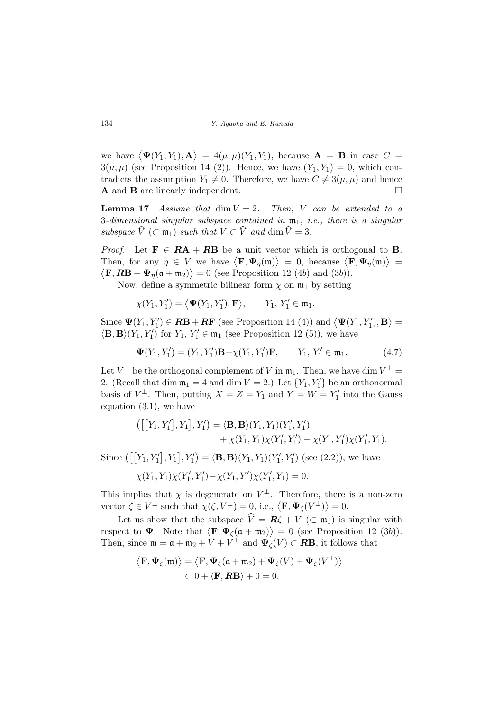we have  $\langle \mathbf{\Psi}(Y_1, Y_1), \mathbf{A} \rangle$ ®  $= 4(\mu, \mu)(Y_1, Y_1)$ , because  $\mathbf{A} = \mathbf{B}$  in case  $C =$  $3(\mu, \mu)$  (see Proposition 14 (2)). Hence, we have  $(Y_1, Y_1) = 0$ , which contradicts the assumption  $Y_1 \neq 0$ . Therefore, we have  $C \neq 3(\mu, \mu)$  and hence A and B are linearly independent.

**Lemma 17** Assume that  $\dim V = 2$ . Then, V can be extended to a 3-dimensional singular subspace contained in  $m_1$ , i.e., there is a singular subspace  $\widehat{V}$  (⊂ m<sub>1</sub>) such that  $V \subset \widehat{V}$  and dim  $\widehat{V} = 3$ .

*Proof.* Let  $\mathbf{F} \in \mathbf{RA} + \mathbf{RB}$  be a unit vector which is orthogonal to  $\mathbf{B}$ . *Then,* for any  $\eta \in V$  we have  $\langle \mathbf{F}, \Psi_{\eta}(\mathfrak{m}) \rangle = 0$ , because  $\langle \mathbf{F}, \Psi_{\eta}(\mathfrak{m}) \rangle =$  $\mathbf{F}, \mathbf{RB} + \mathbf{\Psi}_{\eta}(\mathfrak{a} + \mathfrak{m}_2) \rangle = 0$  (see Proposition 12 (4b) and (3b)).

Now, define a symmetric bilinear form  $\chi$  on  $\mathfrak{m}_1$  by setting

 $\chi(Y_1, Y_1') = \langle \mathbf{\Psi}(Y_1, Y_1'), \mathbf{F} \rangle$  $\rangle, \qquad Y_1, Y_1' \in \mathfrak{m}_1.$ 

Since  $\Psi(Y_1, Y_1') \in \mathbf{RB} + \mathbf{RF}$  (see Proposition 14 (4)) and  $\langle \Psi(Y_1, Y_1'), \mathbf{B} \rangle$ ® =  $\langle \mathbf{B}, \mathbf{B} \rangle(Y_1, Y_1')$  for  $Y_1, Y_1' \in \mathfrak{m}_1$  (see Proposition 12 (5)), we have

$$
\mathbf{\Psi}(Y_1, Y_1') = (Y_1, Y_1')\mathbf{B} + \chi(Y_1, Y_1')\mathbf{F}, \qquad Y_1, Y_1' \in \mathfrak{m}_1. \tag{4.7}
$$

Let  $V^{\perp}$  be the orthogonal complement of V in  $\mathfrak{m}_1$ . Then, we have dim  $V^{\perp}$  = 2. (Recall that dim  $m_1 = 4$  and dim  $V = 2$ .) Let  $\{Y_1, Y'_1\}$  be an orthonormal basis of  $V^{\perp}$ . Then, putting  $X = Z = Y_1$  and  $Y = W = Y'_1$  into the Gauss equation (3.1), we have

$$
\begin{aligned}\n\left(\left[\left[Y_1, Y_1'\right], Y_1\right], Y_1'\right) &= \langle \mathbf{B}, \mathbf{B} \rangle (Y_1, Y_1)(Y_1', Y_1') \\
&\quad + \chi(Y_1, Y_1)\chi(Y_1', Y_1') - \chi(Y_1, Y_1')\chi(Y_1', Y_1).\n\end{aligned}
$$

Since  $\left( \left[ Y_{1}, Y_{1}' \right] \right)$ ¤  $, Y_1$  $], Y'_1$ ¢  $= \langle \mathbf{B}, \mathbf{B} \rangle (Y_1, Y_1)(Y_1', Y_1')$  (see (2.2)), we have

$$
\chi(Y_1, Y_1)\chi(Y_1', Y_1') - \chi(Y_1, Y_1')\chi(Y_1', Y_1) = 0.
$$

This implies that  $\chi$  is degenerate on  $V^{\perp}$ . Therefore, there is a non-zero This implies that  $\chi$  is degenerate on  $V$ . Therefore, there<br>vector  $\zeta \in V^{\perp}$  such that  $\chi(\zeta, V^{\perp}) = 0$ , i.e.,  $\langle \mathbf{F}, \Psi_{\zeta}(V^{\perp}) \rangle = 0$ .

Let us show that the subspace  $\hat{V} = R\zeta + V$  (⊂ m<sub>1</sub>) is singular with Let us show that the subspace  $v = \mathbf{R}\zeta + v$  ( $\zeta$  m<sub>1</sub>) is singular with<br>respect to  $\Psi$ . Note that  $\langle \mathbf{F}, \Psi_{\zeta}(\mathfrak{a} + \mathfrak{m}_2) \rangle = 0$  (see Proposition 12 (3b)). Then, since  $\mathfrak{m} = \mathfrak{a} + \mathfrak{m}_2 + V + V^{\perp}$  and  $\Psi_{\zeta}(V) \subset \mathbb{R}$ B, it follows that

$$
\langle \mathbf{F}, \mathbf{\Psi}_{\zeta}(\mathfrak{m}) \rangle = \langle \mathbf{F}, \mathbf{\Psi}_{\zeta}(\mathfrak{a} + \mathfrak{m}_2) + \mathbf{\Psi}_{\zeta}(V) + \mathbf{\Psi}_{\zeta}(V^{\perp}) \rangle
$$
  

$$
\subset 0 + \langle \mathbf{F}, \mathbf{RB} \rangle + 0 = 0.
$$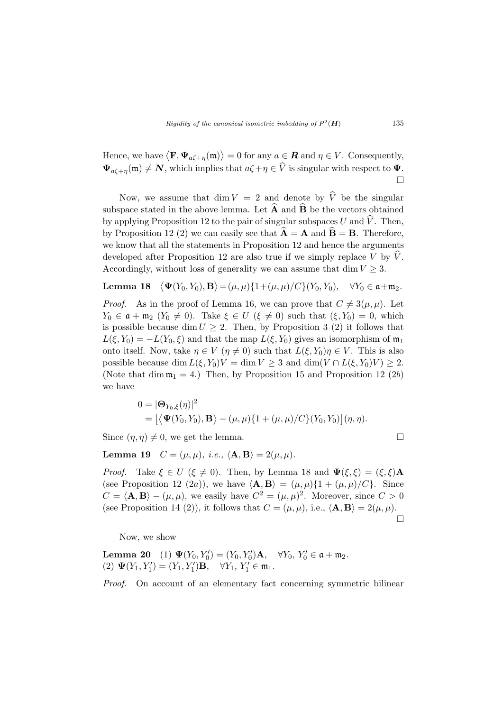Hence, we have  $\langle \mathbf{F}, \mathbf{\Psi}_{a\zeta+\eta}(\mathfrak{m})\rangle$ ®  $= 0$  for any  $a \in \mathbf{R}$  and  $\eta \in V$ . Consequently,  $\Psi_{a\zeta+\eta}(\mathfrak{m})\neq N$ , which implies that  $a\zeta+\eta\in \widehat{V}$  is singular with respect to  $\Psi$ .  $\Box$ 

Now, we assume that dim  $V = 2$  and denote by  $\hat{V}$  be the singular subspace stated in the above lemma. Let  $\widehat{A}$  and  $\widehat{B}$  be the vectors obtained by applying Proposition 12 to the pair of singular subspaces U and  $\hat{V}$ . Then, by Proposition 12 (2) we can easily see that  $\hat{A} = A$  and  $\hat{B} = B$ . Therefore, we know that all the statements in Proposition 12 and hence the arguments developed after Proposition 12 are also true if we simply replace V by  $\hat{V}$ . Accordingly, without loss of generality we can assume that dim  $V \geq 3$ .

Lemma 18  $\mathbf{\Psi}(Y_0,Y_0),\mathbf{B}$ ®  $=(\mu, \mu)\{1+(\mu, \mu)/C\}(Y_0, Y_0), \quad \forall Y_0 \in \mathfrak{a}+\mathfrak{m}_2.$ 

*Proof.* As in the proof of Lemma 16, we can prove that  $C \neq 3(\mu, \mu)$ . Let  $Y_0 \in \mathfrak{a} + \mathfrak{m}_2 \ (Y_0 \neq 0)$ . Take  $\xi \in U \ (\xi \neq 0)$  such that  $(\xi, Y_0) = 0$ , which is possible because dim  $U \geq 2$ . Then, by Proposition 3 (2) it follows that  $L(\xi, Y_0) = -L(Y_0, \xi)$  and that the map  $L(\xi, Y_0)$  gives an isomorphism of  $\mathfrak{m}_1$ onto itself. Now, take  $\eta \in V$  ( $\eta \neq 0$ ) such that  $L(\xi, Y_0)\eta \in V$ . This is also possible because dim  $L(\xi, Y_0)V = \dim V \geq 3$  and  $\dim(V \cap L(\xi, Y_0)V) \geq 2$ . (Note that dim  $m_1 = 4$ .) Then, by Proposition 15 and Proposition 12 (2b) we have

$$
0 = |\mathbf{\Theta}_{Y_0,\xi}(\eta)|^2
$$
  
=  $[\langle \mathbf{\Psi}(Y_0,Y_0),\mathbf{B}\rangle - (\mu,\mu)\{1+(\mu,\mu)/C\}(Y_0,Y_0)](\eta,\eta).$ 

Since  $(\eta, \eta) \neq 0$ , we get the lemma.

Lemma 19  $C = (\mu, \mu)$ , *i.e.*,  $\langle \mathbf{A}, \mathbf{B} \rangle = 2(\mu, \mu)$ .

*Proof.* Take  $\xi \in U$  ( $\xi \neq 0$ ). Then, by Lemma 18 and  $\Psi(\xi, \xi) = (\xi, \xi) \mathbf{A}$ (see Proposition 12 (2a)), we have  $\langle \mathbf{A}, \mathbf{B} \rangle = (\mu, \mu) \{1 + (\mu, \mu)/C\}$ . Since  $C = \langle \mathbf{A}, \mathbf{B} \rangle - (\mu, \mu)$ , we easily have  $C^2 = (\mu, \mu)^2$ . Moreover, since  $C > 0$ (see Proposition 14 (2)), it follows that  $C = (\mu, \mu)$ , i.e.,  $\langle \mathbf{A}, \mathbf{B} \rangle = 2(\mu, \mu)$ .  $\Box$ 

Now, we show

Lemma 20 (1)  $\Psi(Y_0, Y_0') = (Y_0, Y_0')\mathbf{A}, \quad \forall Y_0, Y_0' \in \mathfrak{a} + \mathfrak{m}_2.$ (2)  $\Psi(Y_1, Y_1') = (Y_1, Y_1')\mathbf{B}, \quad \forall Y_1, Y_1' \in \mathfrak{m}_1.$ 

Proof. On account of an elementary fact concerning symmetric bilinear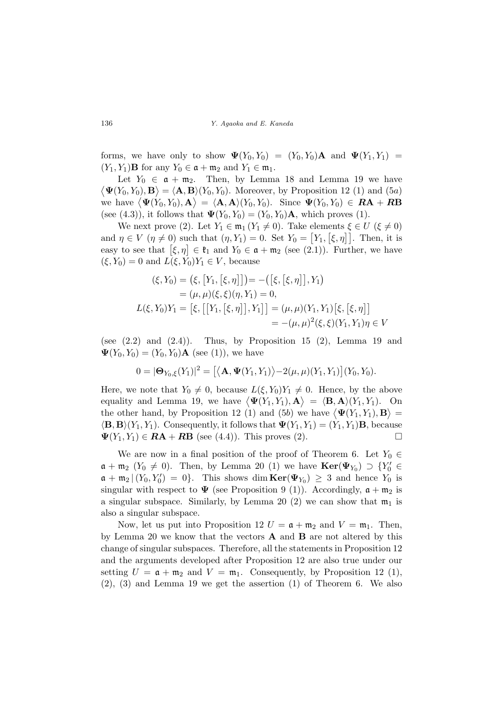forms, we have only to show  $\Psi(Y_0, Y_0) = (Y_0, Y_0) \mathbf{A}$  and  $\Psi(Y_1, Y_1) =$  $(Y_1, Y_1)$ **B** for any  $Y_0 \in \mathfrak{a} + \mathfrak{m}_2$  and  $Y_1 \in \mathfrak{m}_1$ .

Let  $Y_0 \in \mathfrak{a} + \mathfrak{m}_2$ . Then, by Lemma 18 and Lemma 19 we have  $\overline{1}$  $\Psi(Y_0, Y_0), \mathbf{B} \rangle = \langle \mathbf{A}, \mathbf{B} \rangle(Y_0, Y_0)$ . Moreover, by Proposition 12 (1) and (5a)  $\langle \mathbf{\Psi}(T_0, T_0), \mathbf{B} \rangle = \langle \mathbf{A}, \mathbf{B} \rangle (T_0, T_0)$ . Moreover, by Proposition 12 (1) and (5*a*)<br>we have  $\langle \mathbf{\Psi}(Y_0, Y_0), \mathbf{A} \rangle = \langle \mathbf{A}, \mathbf{A} \rangle (Y_0, Y_0)$ . Since  $\mathbf{\Psi}(Y_0, Y_0) \in \mathbf{RA} + \mathbf{RB}$ (see (4.3)), it follows that  $\Psi(Y_0, Y_0) = (Y_0, Y_0) \mathbf{A}$ , which proves (1).

We next prove (2). Let  $Y_1 \in \mathfrak{m}_1 (Y_1 \neq 0)$ . Take elements  $\xi \in U$  ( $\xi \neq 0$ ) we hext prove (2). Let  $I_1 \in \mathfrak{m}_1$  ( $I_1 \neq 0$ ). Take elements  $\xi \in U$  ( $\xi \neq 0$ )<br>and  $\eta \in V$  ( $\eta \neq 0$ ) such that ( $\eta, Y_1$ ) = 0. Set  $Y_0 = [Y_1, [\xi, \eta]]$ . Then, it is and  $\eta \in V$  ( $\eta \neq 0$ ) such that  $(\eta, r_1) = 0$ . Set  $r_0 = [r_1, [s, \eta]]$ . Then, it is<br>easy to see that  $[\xi, \eta] \in \mathfrak{k}_1$  and  $Y_0 \in \mathfrak{a} + \mathfrak{m}_2$  (see (2.1)). Further, we have  $(\xi, Y_0) = 0$  and  $L(\xi, Y_0)Y_1 \in V$ , because

$$
(\xi, Y_0) = (\xi, [Y_1, [\xi, \eta]]) = -([\xi, [\xi, \eta]], Y_1)
$$
  
\n
$$
= (\mu, \mu)(\xi, \xi)(\eta, Y_1) = 0,
$$
  
\n
$$
L(\xi, Y_0)Y_1 = [\xi, [[Y_1, [\xi, \eta]], Y_1]] = (\mu, \mu)(Y_1, Y_1)[\xi, [\xi, \eta]]
$$
  
\n
$$
= -(\mu, \mu)^2(\xi, \xi)(Y_1, Y_1)\eta \in V
$$

(see  $(2.2)$  and  $(2.4)$ ). Thus, by Proposition 15  $(2)$ , Lemma 19 and  $\Psi(Y_0, Y_0) = (Y_0, Y_0) \mathbf{A}$  (see (1)), we have

$$
0 = |\mathbf{\Theta}_{Y_0,\xi}(Y_1)|^2 = [\langle \mathbf{A}, \mathbf{\Psi}(Y_1,Y_1) \rangle - 2(\mu,\mu)(Y_1,Y_1)](Y_0,Y_0).
$$

Here, we note that  $Y_0 \neq 0$ , because  $L(\xi, Y_0)Y_1 \neq 0$ . Hence, by the above Here, we note that  $T_0 \neq 0$ , because  $L(\zeta, T_0)/T_1 \neq 0$ . Hence, by the above<br>equality and Lemma 19, we have  $\langle \Psi(Y_1, Y_1), \mathbf{A} \rangle = \langle \mathbf{B}, \mathbf{A} \rangle(Y_1, Y_1)$ . On equality and Lemma 19, we have  $\langle \mathbf{\Psi}(I_1, I_1), \mathbf{A} \rangle = \langle \mathbf{B}, \mathbf{A} \rangle (I_1, I_1)$ . On<br>the other hand, by Proposition 12 (1) and (5b) we have  $\langle \mathbf{\Psi}(Y_1, Y_1), \mathbf{B} \rangle =$  $\langle \mathbf{B}, \mathbf{B} \rangle (Y_1, Y_1)$ . Consequently, it follows that  $\Psi(Y_1, Y_1) = (Y_1, Y_1) \mathbf{B}$ , because  $\Psi(Y_1, Y_1) \in \mathbf{RA} + \mathbf{RB}$  (see (4.4)). This proves (2).

We are now in a final position of the proof of Theorem 6. Let  $Y_0 \in$  $\mathfrak{a} + \mathfrak{m}_2$  ( $Y_0 \neq 0$ ). Then, by Lemma 20 (1) we have  $\text{Ker}(\Psi_{Y_0}) \supset \{Y'_0 \in$  $\mathfrak{a} + \mathfrak{m}_2 | (Y_0, Y'_0) = 0$ . This shows dim  $\text{Ker}(\Psi_{Y_0}) \geq 3$  and hence  $Y_0$  is singular with respect to  $\Psi$  (see Proposition 9 (1)). Accordingly,  $\mathfrak{a} + \mathfrak{m}_2$  is a singular subspace. Similarly, by Lemma 20 (2) we can show that  $m_1$  is also a singular subspace.

Now, let us put into Proposition 12  $U = \mathfrak{a} + \mathfrak{m}_2$  and  $V = \mathfrak{m}_1$ . Then, by Lemma 20 we know that the vectors  $\bf{A}$  and  $\bf{B}$  are not altered by this change of singular subspaces. Therefore, all the statements in Proposition 12 and the arguments developed after Proposition 12 are also true under our setting  $U = \mathfrak{a} + \mathfrak{m}_2$  and  $V = \mathfrak{m}_1$ . Consequently, by Proposition 12 (1), (2), (3) and Lemma 19 we get the assertion (1) of Theorem 6. We also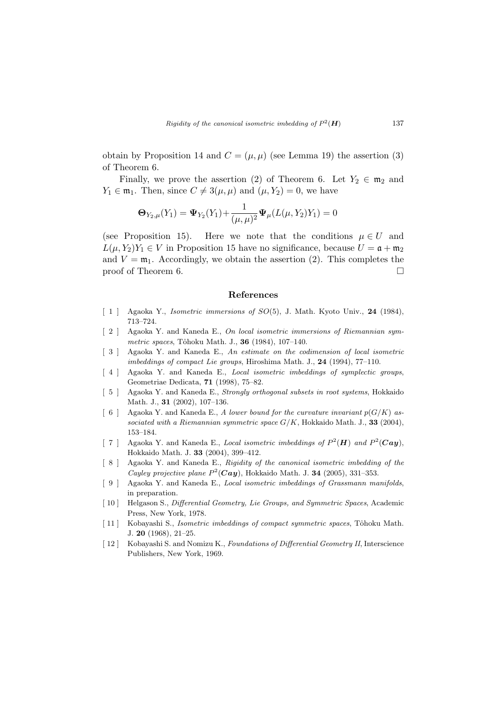obtain by Proposition 14 and  $C = (\mu, \mu)$  (see Lemma 19) the assertion (3) of Theorem 6.

Finally, we prove the assertion (2) of Theorem 6. Let  $Y_2 \in \mathfrak{m}_2$  and  $Y_1 \in \mathfrak{m}_1$ . Then, since  $C \neq 3(\mu, \mu)$  and  $(\mu, Y_2) = 0$ , we have

$$
\mathbf{\Theta}_{Y_2,\mu}(Y_1) = \mathbf{\Psi}_{Y_2}(Y_1) + \frac{1}{(\mu,\mu)^2} \mathbf{\Psi}_{\mu}(L(\mu,Y_2)Y_1) = 0
$$

(see Proposition 15). Here we note that the conditions  $\mu \in U$  and  $L(\mu, Y_2)Y_1 \in V$  in Proposition 15 have no significance, because  $U = \mathfrak{a} + \mathfrak{m}_2$ and  $V = \mathfrak{m}_1$ . Accordingly, we obtain the assertion (2). This completes the proof of Theorem 6.  $\Box$ 

#### References

- [ 1 ] Agaoka Y., *Isometric immersions of SO*(5), J. Math. Kyoto Univ., 24 (1984), 713–724.
- [ 2 ] Agaoka Y. and Kaneda E., On local isometric immersions of Riemannian symmetric spaces, Tôhoku Math. J., 36 (1984), 107-140.
- [ 3 ] Agaoka Y. and Kaneda E., An estimate on the codimension of local isometric imbeddings of compact Lie groups, Hiroshima Math. J., 24 (1994), 77–110.
- [4] Agaoka Y. and Kaneda E., *Local isometric imbeddings of symplectic groups*, Geometriae Dedicata, 71 (1998), 75–82.
- [ 5 ] Agaoka Y. and Kaneda E., Strongly orthogonal subsets in root systems, Hokkaido Math. J., **31** (2002), 107-136.
- [ 6 ] Agaoka Y. and Kaneda E., A lower bound for the curvature invariant  $p(G/K)$  associated with a Riemannian symmetric space  $G/K$ , Hokkaido Math. J., 33 (2004), 153–184.
- [7] Agaoka Y. and Kaneda E., Local isometric imbeddings of  $P^2(H)$  and  $P^2(Cay)$ , Hokkaido Math. J. 33 (2004), 399–412.
- [ 8 ] Agaoka Y. and Kaneda E., Rigidity of the canonical isometric imbedding of the Cayley projective plane  $P^2(Cay)$ , Hokkaido Math. J. 34 (2005), 331-353.
- [ 9 ] Agaoka Y. and Kaneda E., Local isometric imbeddings of Grassmann manifolds, in preparation.
- [ 10 ] Helgason S., Differential Geometry, Lie Groups, and Symmetric Spaces, Academic Press, New York, 1978.
- [11] Kobayashi S., *Isometric imbeddings of compact symmetric spaces*, Tôhoku Math. J. 20 (1968), 21–25.
- [ 12 ] Kobayashi S. and Nomizu K., Foundations of Differential Geometry II, Interscience Publishers, New York, 1969.